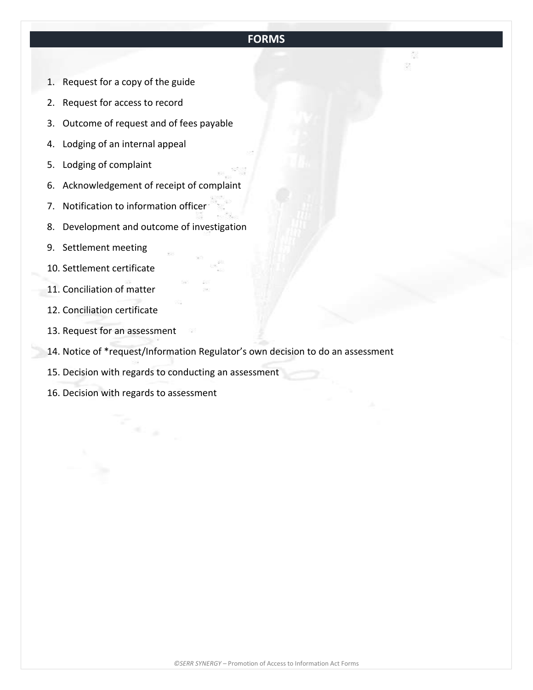# **FORMS**

- 1. Request for a copy of the guide
- 2. Request for access to record
- 3. Outcome of request and of fees payable
- 4. Lodging of an internal appeal
- 5. Lodging of complaint
- 6. Acknowledgement of receipt of complaint
- 7. Notification to information officer
- 8. Development and outcome of investigation
- 9. Settlement meeting
- 10. Settlement certificate
- 11. Conciliation of matter
- 12. Conciliation certificate
- 13. Request for an assessment
- 14. Notice of \*request/Information Regulator's own decision to do an assessment
- 15. Decision with regards to conducting an assessment
- 16. Decision with regards to assessment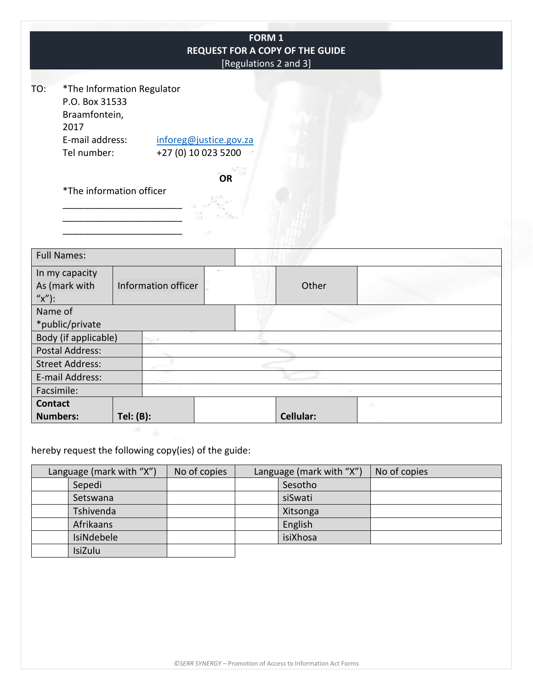|                                                                                  |                            |                                               | FORM 1<br>[Regulations 2 and 3] | REQUEST FOR A COPY OF THE GUIDE |  |
|----------------------------------------------------------------------------------|----------------------------|-----------------------------------------------|---------------------------------|---------------------------------|--|
| TO:<br>P.O. Box 31533<br>Braamfontein,<br>2017<br>E-mail address:<br>Tel number: | *The Information Regulator | inforeg@justice.gov.za<br>+27 (0) 10 023 5200 |                                 |                                 |  |
|                                                                                  | *The information officer   | OR                                            |                                 |                                 |  |
| <b>Full Names:</b>                                                               |                            |                                               |                                 |                                 |  |
| In my capacity<br>As (mark with<br>$''x'$ :                                      | Information officer        |                                               |                                 | Other                           |  |
| Name of                                                                          |                            |                                               |                                 |                                 |  |
| *public/private                                                                  |                            |                                               |                                 |                                 |  |
| Body (if applicable)                                                             |                            |                                               |                                 |                                 |  |
| <b>Postal Address:</b>                                                           |                            |                                               |                                 |                                 |  |
| <b>Street Address:</b>                                                           |                            |                                               |                                 |                                 |  |
| E-mail Address:                                                                  |                            |                                               |                                 |                                 |  |
| Facsimile:                                                                       |                            |                                               |                                 |                                 |  |
| <b>Contact</b><br><b>Numbers:</b>                                                |                            |                                               |                                 | Cellular:                       |  |
|                                                                                  | Tel: (B):                  |                                               |                                 |                                 |  |
| hereby request the following copy(ies) of the guide:                             |                            |                                               |                                 |                                 |  |

Language (mark with "X") | No of copies | Language (mark with "X") | No of copies Sepedi Sesotho Sesotho Sesotho Sesotho Sesotho Sesotho Sesotho Sesotho Sesotho Sesotho Sesotho Sesotho Sesotho Sesotho Sesotho Sesotho Sesotho Sesotho Sesotho Sesotho Sesotho Sesotho Sesotho Sesotho Sesotho Sesotho Sesotho Setswana Tshivenda Xitsonga Afrikaans IsiNdebele and isiXhosa IsiZulu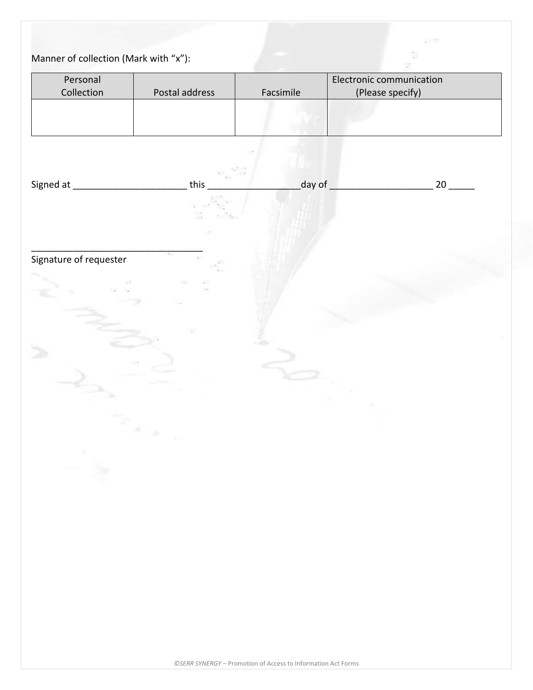# Manner of collection (Mark with "x"):

| Personal               |                |           | Electronic communication |  |
|------------------------|----------------|-----------|--------------------------|--|
| Collection             | Postal address | Facsimile | (Please specify)         |  |
|                        |                |           |                          |  |
|                        |                |           |                          |  |
|                        |                |           |                          |  |
| Signed at_             | this           | day of    | $20$ $-$                 |  |
|                        |                |           |                          |  |
|                        |                |           |                          |  |
|                        |                |           |                          |  |
| Signature of requester |                |           |                          |  |
| 83                     | ×<br>33        |           |                          |  |
|                        | 73             |           |                          |  |
|                        |                |           |                          |  |
|                        |                |           |                          |  |
|                        |                |           |                          |  |
|                        |                |           |                          |  |
|                        |                |           |                          |  |
|                        | Se p           |           |                          |  |
|                        |                |           |                          |  |
| - 5                    |                |           |                          |  |
|                        |                |           |                          |  |
|                        |                |           |                          |  |
|                        |                |           |                          |  |
|                        |                |           |                          |  |
|                        |                |           |                          |  |
|                        |                |           |                          |  |
|                        |                |           |                          |  |
|                        |                |           |                          |  |
|                        |                |           |                          |  |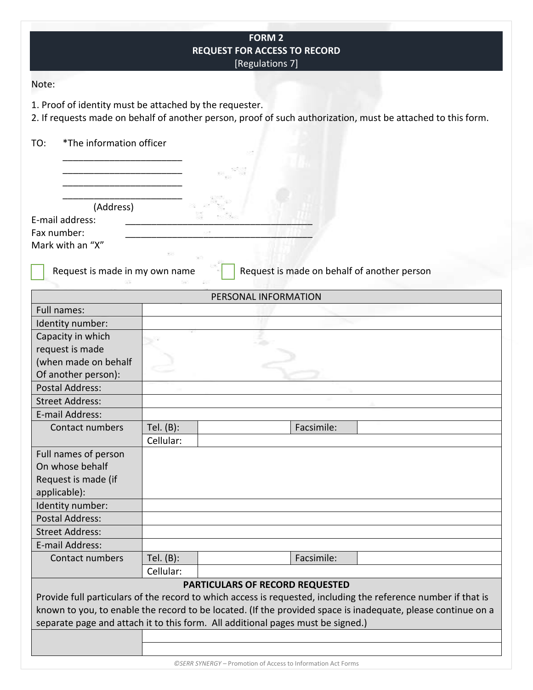|                                                                 |                           | <b>FORM 2</b><br><b>REQUEST FOR ACCESS TO RECORD</b><br>[Regulations 7]                                                                           |
|-----------------------------------------------------------------|---------------------------|---------------------------------------------------------------------------------------------------------------------------------------------------|
| Note:                                                           |                           |                                                                                                                                                   |
| 1. Proof of identity must be attached by the requester.         |                           | 2. If requests made on behalf of another person, proof of such authorization, must be attached to this form.                                      |
| *The information officer<br>TO:                                 |                           |                                                                                                                                                   |
|                                                                 |                           |                                                                                                                                                   |
|                                                                 |                           |                                                                                                                                                   |
| (Address)<br>E-mail address:<br>Fax number:<br>Mark with an "X" |                           |                                                                                                                                                   |
| Request is made in my own name                                  |                           | Request is made on behalf of another person                                                                                                       |
|                                                                 |                           | PERSONAL INFORMATION                                                                                                                              |
| Full names:                                                     |                           |                                                                                                                                                   |
| Identity number:                                                |                           |                                                                                                                                                   |
| Capacity in which                                               |                           |                                                                                                                                                   |
| request is made                                                 |                           |                                                                                                                                                   |
| (when made on behalf                                            |                           |                                                                                                                                                   |
| Of another person):                                             |                           |                                                                                                                                                   |
| <b>Postal Address:</b>                                          |                           |                                                                                                                                                   |
| <b>Street Address:</b>                                          |                           |                                                                                                                                                   |
| E-mail Address:                                                 |                           |                                                                                                                                                   |
| Contact numbers                                                 | Tel. $(B)$ :<br>Cellular: | Facsimile:                                                                                                                                        |
| Full names of person                                            |                           |                                                                                                                                                   |
| On whose behalf                                                 |                           |                                                                                                                                                   |
| Request is made (if                                             |                           |                                                                                                                                                   |
| applicable):                                                    |                           |                                                                                                                                                   |
| Identity number:                                                |                           |                                                                                                                                                   |
| <b>Postal Address:</b>                                          |                           |                                                                                                                                                   |
| <b>Street Address:</b>                                          |                           |                                                                                                                                                   |
| E-mail Address:                                                 |                           |                                                                                                                                                   |
| Contact numbers                                                 | Tel. $(B)$ :              | Facsimile:                                                                                                                                        |
|                                                                 | Cellular:                 |                                                                                                                                                   |
|                                                                 |                           | PARTICULARS OF RECORD REQUESTED<br>Provide full particulars of the record to which access is requested, including the reference number if that is |
|                                                                 |                           | known to you, to enable the record to be located. (If the provided space is inadequate, please continue on a                                      |
|                                                                 |                           | separate page and attach it to this form. All additional pages must be signed.)                                                                   |
|                                                                 |                           |                                                                                                                                                   |
|                                                                 |                           |                                                                                                                                                   |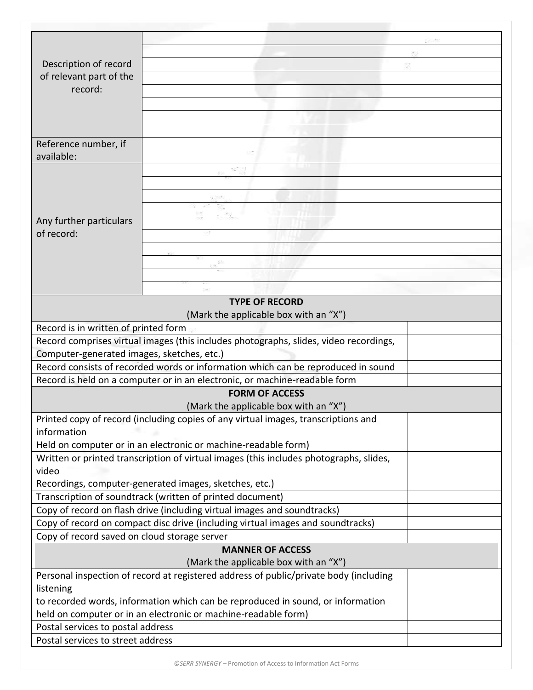| Description of record<br>of relevant part of the |                                                                                        |  |
|--------------------------------------------------|----------------------------------------------------------------------------------------|--|
| record:                                          |                                                                                        |  |
|                                                  |                                                                                        |  |
|                                                  |                                                                                        |  |
|                                                  |                                                                                        |  |
|                                                  |                                                                                        |  |
| Reference number, if<br>available:               |                                                                                        |  |
|                                                  |                                                                                        |  |
|                                                  |                                                                                        |  |
|                                                  |                                                                                        |  |
|                                                  |                                                                                        |  |
| Any further particulars                          |                                                                                        |  |
| of record:                                       |                                                                                        |  |
|                                                  |                                                                                        |  |
|                                                  |                                                                                        |  |
|                                                  |                                                                                        |  |
|                                                  |                                                                                        |  |
|                                                  | <b>TYPE OF RECORD</b>                                                                  |  |
|                                                  | (Mark the applicable box with an "X")                                                  |  |
| Record is in written of printed form             |                                                                                        |  |
|                                                  | Record comprises virtual images (this includes photographs, slides, video recordings,  |  |
| Computer-generated images, sketches, etc.)       |                                                                                        |  |
|                                                  | Record consists of recorded words or information which can be reproduced in sound      |  |
|                                                  | Record is held on a computer or in an electronic, or machine-readable form             |  |
|                                                  | <b>FORM OF ACCESS</b>                                                                  |  |
|                                                  | (Mark the applicable box with an "X")                                                  |  |
|                                                  | Printed copy of record (including copies of any virtual images, transcriptions and     |  |
| information                                      |                                                                                        |  |
|                                                  | Held on computer or in an electronic or machine-readable form)                         |  |
|                                                  | Written or printed transcription of virtual images (this includes photographs, slides, |  |
| video                                            | Recordings, computer-generated images, sketches, etc.)                                 |  |
|                                                  | Transcription of soundtrack (written of printed document)                              |  |
|                                                  | Copy of record on flash drive (including virtual images and soundtracks)               |  |
|                                                  | Copy of record on compact disc drive (including virtual images and soundtracks)        |  |
| Copy of record saved on cloud storage server     |                                                                                        |  |
|                                                  | <b>MANNER OF ACCESS</b>                                                                |  |
|                                                  | (Mark the applicable box with an "X")                                                  |  |
|                                                  | Personal inspection of record at registered address of public/private body (including  |  |
| listening                                        |                                                                                        |  |
|                                                  | to recorded words, information which can be reproduced in sound, or information        |  |
|                                                  | held on computer or in an electronic or machine-readable form)                         |  |
| Postal services to postal address                |                                                                                        |  |
| Postal services to street address                |                                                                                        |  |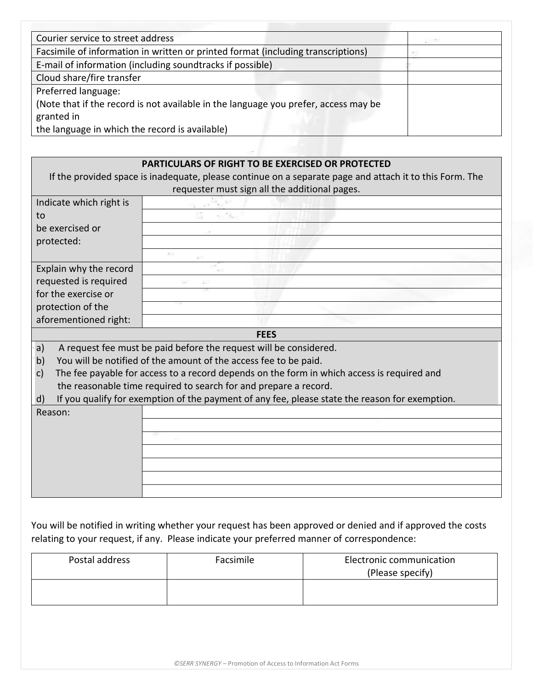| Courier service to street address                                                   | お茶を食 |
|-------------------------------------------------------------------------------------|------|
| Facsimile of information in written or printed format (including transcriptions)    |      |
| E-mail of information (including soundtracks if possible)                           |      |
| Cloud share/fire transfer                                                           |      |
| Preferred language:                                                                 |      |
| (Note that if the record is not available in the language you prefer, access may be |      |
| granted in                                                                          |      |
| the language in which the record is available)                                      |      |

|                         | <b>PARTICULARS OF RIGHT TO BE EXERCISED OR PROTECTED</b><br>If the provided space is inadequate, please continue on a separate page and attach it to this Form. The |
|-------------------------|---------------------------------------------------------------------------------------------------------------------------------------------------------------------|
|                         | requester must sign all the additional pages.                                                                                                                       |
| Indicate which right is |                                                                                                                                                                     |
| to                      |                                                                                                                                                                     |
| be exercised or         |                                                                                                                                                                     |
| protected:              |                                                                                                                                                                     |
|                         |                                                                                                                                                                     |
| Explain why the record  |                                                                                                                                                                     |
| requested is required   |                                                                                                                                                                     |
| for the exercise or     |                                                                                                                                                                     |
| protection of the       |                                                                                                                                                                     |
| aforementioned right:   |                                                                                                                                                                     |
|                         | <b>FEES</b>                                                                                                                                                         |
| a)                      | A request fee must be paid before the request will be considered.                                                                                                   |
| b)                      | You will be notified of the amount of the access fee to be paid.                                                                                                    |
| c)                      | The fee payable for access to a record depends on the form in which access is required and                                                                          |
|                         | the reasonable time required to search for and prepare a record.                                                                                                    |
| d)                      | If you qualify for exemption of the payment of any fee, please state the reason for exemption.                                                                      |
| Reason:                 |                                                                                                                                                                     |
|                         |                                                                                                                                                                     |
|                         |                                                                                                                                                                     |
|                         |                                                                                                                                                                     |
|                         |                                                                                                                                                                     |
|                         |                                                                                                                                                                     |
|                         |                                                                                                                                                                     |

You will be notified in writing whether your request has been approved or denied and if approved the costs relating to your request, if any. Please indicate your preferred manner of correspondence:

| Postal address | Facsimile | Electronic communication<br>(Please specify) |
|----------------|-----------|----------------------------------------------|
|                |           |                                              |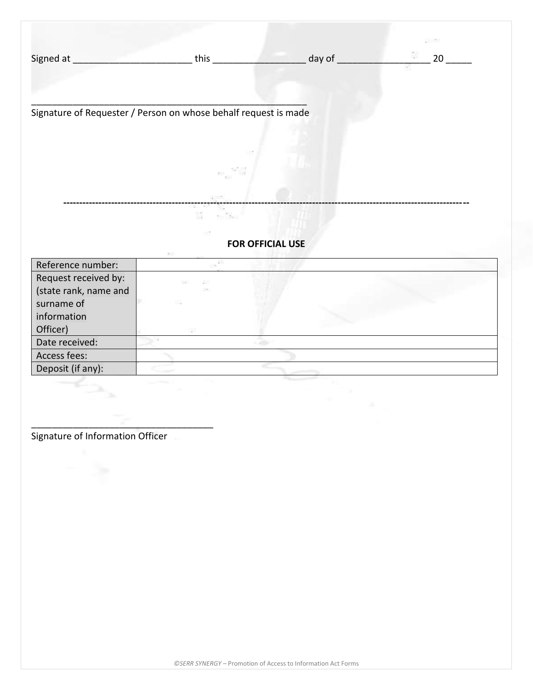|           | $+n +n$ | וח וור |  |
|-----------|---------|--------|--|
| Signed at | LI 11.  | uav    |  |
|           |         |        |  |
|           |         |        |  |

\_\_\_\_\_\_\_\_\_\_\_\_\_\_\_\_\_\_\_\_\_\_\_\_\_\_\_\_\_\_\_\_\_\_\_\_\_\_\_\_\_\_\_\_\_\_\_\_\_\_\_\_\_ Signature of Requester / Person on whose behalf request is made

### **FOR OFFICIAL USE**

**-------------------------------------------------------------------------------------------------------------------------------**

| Reference number:     |             |  |
|-----------------------|-------------|--|
| Request received by:  | 88<br>- 555 |  |
| (state rank, name and | 553         |  |
| surname of            | 72          |  |
| information           |             |  |
| Officer)              | 555         |  |
| Date received:        |             |  |
| Access fees:          |             |  |
| Deposit (if any):     |             |  |

Signature of Information Officer

\_\_\_\_\_\_\_\_\_\_\_\_\_\_\_\_\_\_\_\_\_\_\_\_\_\_\_\_\_\_\_\_\_\_\_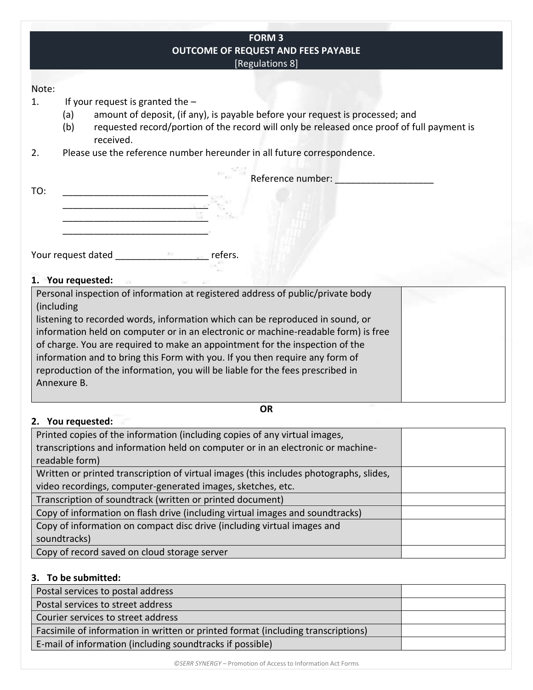| <b>FORM 3</b>                                                                                                                                                                                           |
|---------------------------------------------------------------------------------------------------------------------------------------------------------------------------------------------------------|
| <b>OUTCOME OF REQUEST AND FEES PAYABLE</b>                                                                                                                                                              |
| [Regulations 8]                                                                                                                                                                                         |
|                                                                                                                                                                                                         |
|                                                                                                                                                                                                         |
| If your request is granted the $-$                                                                                                                                                                      |
| amount of deposit, (if any), is payable before your request is processed; and<br>(a)                                                                                                                    |
| (b)<br>requested record/portion of the record will only be released once proof of full payment is<br>received.                                                                                          |
| Please use the reference number hereunder in all future correspondence.                                                                                                                                 |
| Reference number:                                                                                                                                                                                       |
|                                                                                                                                                                                                         |
|                                                                                                                                                                                                         |
|                                                                                                                                                                                                         |
|                                                                                                                                                                                                         |
|                                                                                                                                                                                                         |
| <b>Provided Provided Provided Provided Provided Provided Provided Provided Provided Provided Provided Provided Provided Provided Provided Provided Provided Provided Provided Provided P</b><br>refers. |
|                                                                                                                                                                                                         |
|                                                                                                                                                                                                         |

### **1. You requested:**

**2. You requested:**

Personal inspection of information at registered address of public/private body (including

listening to recorded words, information which can be reproduced in sound, or information held on computer or in an electronic or machine-readable form) is free of charge. You are required to make an appointment for the inspection of the information and to bring this Form with you. If you then require any form of reproduction of the information, you will be liable for the fees prescribed in Annexure B.

#### **OR**

| Printed copies of the information (including copies of any virtual images,             |  |
|----------------------------------------------------------------------------------------|--|
| transcriptions and information held on computer or in an electronic or machine-        |  |
| readable form)                                                                         |  |
| Written or printed transcription of virtual images (this includes photographs, slides, |  |
| video recordings, computer-generated images, sketches, etc.                            |  |
| Transcription of soundtrack (written or printed document)                              |  |
| Copy of information on flash drive (including virtual images and soundtracks)          |  |
| Copy of information on compact disc drive (including virtual images and                |  |
| soundtracks)                                                                           |  |
| Copy of record saved on cloud storage server                                           |  |

### **3. To be submitted:**

| Postal services to postal address                                                |  |
|----------------------------------------------------------------------------------|--|
| Postal services to street address                                                |  |
| Courier services to street address                                               |  |
| Facsimile of information in written or printed format (including transcriptions) |  |
| E-mail of information (including soundtracks if possible)                        |  |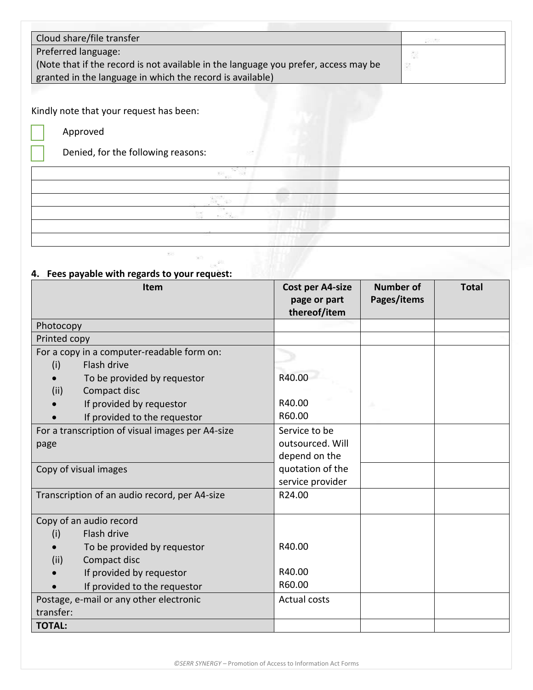| Cloud share/file transfer                                                           | <b>SANCE</b> |
|-------------------------------------------------------------------------------------|--------------|
| Preferred language:                                                                 | È.           |
| (Note that if the record is not available in the language you prefer, access may be |              |
| granted in the language in which the record is available)                           |              |

Kindly note that your request has been:

Approved

Denied, for the following reasons:

## **4. Fees payable with regards to your request:**

| <b>Item</b>                                      | Cost per A4-size<br>page or part | <b>Number of</b><br>Pages/items | <b>Total</b> |
|--------------------------------------------------|----------------------------------|---------------------------------|--------------|
|                                                  | thereof/item                     |                                 |              |
| Photocopy                                        |                                  |                                 |              |
| Printed copy                                     |                                  |                                 |              |
| For a copy in a computer-readable form on:       |                                  |                                 |              |
| Flash drive<br>(i)                               |                                  |                                 |              |
| To be provided by requestor                      | R40.00                           |                                 |              |
| Compact disc<br>(ii)                             |                                  |                                 |              |
| If provided by requestor                         | R40.00                           |                                 |              |
| If provided to the requestor                     | R60.00                           |                                 |              |
| For a transcription of visual images per A4-size | Service to be                    |                                 |              |
| page                                             | outsourced. Will                 |                                 |              |
|                                                  | depend on the                    |                                 |              |
| Copy of visual images                            | quotation of the                 |                                 |              |
|                                                  | service provider                 |                                 |              |
| Transcription of an audio record, per A4-size    | R24.00                           |                                 |              |
|                                                  |                                  |                                 |              |
| Copy of an audio record                          |                                  |                                 |              |
| Flash drive<br>(i)                               |                                  |                                 |              |
| To be provided by requestor                      | R40.00                           |                                 |              |
| Compact disc<br>(ii)                             |                                  |                                 |              |
| If provided by requestor                         | R40.00                           |                                 |              |
| If provided to the requestor                     | R60.00                           |                                 |              |
| Postage, e-mail or any other electronic          | <b>Actual costs</b>              |                                 |              |
| transfer:                                        |                                  |                                 |              |
| <b>TOTAL:</b>                                    |                                  |                                 |              |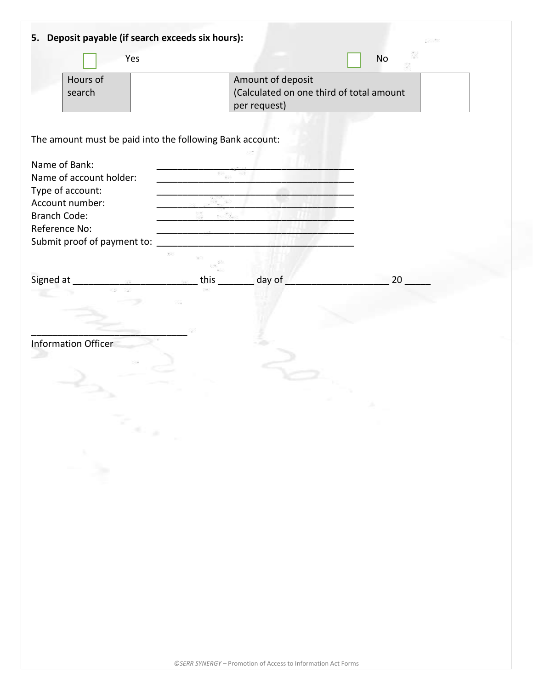| Yes                                                      |           |                                                                                 | No |
|----------------------------------------------------------|-----------|---------------------------------------------------------------------------------|----|
| Hours of<br>search                                       |           | Amount of deposit<br>(Calculated on one third of total amount<br>per request)   |    |
| The amount must be paid into the following Bank account: |           |                                                                                 |    |
| Name of Bank:<br>Name of account holder:                 | 28        | -92                                                                             |    |
| Type of account:                                         |           |                                                                                 |    |
| Account number:<br><b>Branch Code:</b>                   |           |                                                                                 |    |
| Reference No:                                            |           | the contract of the contract of the contract of the contract of the contract of |    |
| Submit proof of payment to:                              |           |                                                                                 |    |
|                                                          |           |                                                                                 |    |
|                                                          | this $\_$ | __ day of                                                                       | 20 |
|                                                          |           |                                                                                 |    |
|                                                          |           |                                                                                 |    |
| Information Officer                                      |           |                                                                                 |    |
|                                                          |           |                                                                                 |    |
|                                                          |           |                                                                                 |    |
|                                                          |           |                                                                                 |    |
|                                                          |           |                                                                                 |    |
| Read                                                     |           |                                                                                 |    |
|                                                          |           |                                                                                 |    |
| ≥.                                                       |           |                                                                                 |    |
|                                                          |           |                                                                                 |    |
|                                                          |           |                                                                                 |    |
|                                                          |           |                                                                                 |    |
|                                                          |           |                                                                                 |    |
|                                                          |           |                                                                                 |    |
|                                                          |           |                                                                                 |    |
|                                                          |           |                                                                                 |    |
|                                                          |           |                                                                                 |    |
|                                                          |           |                                                                                 |    |
|                                                          |           |                                                                                 |    |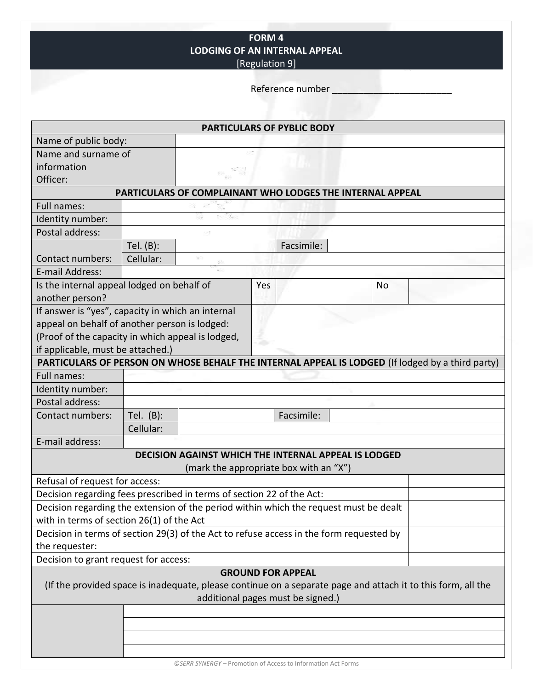**FORM 4 LODGING OF AN INTERNAL APPEAL** [Regulation 9]

Reference number \_\_\_\_\_\_\_\_\_\_\_\_\_\_\_\_\_\_\_\_\_\_\_

|                                                                       |                                                           |    |     | <b>PARTICULARS OF PYBLIC BODY</b>                                                                            |    |  |  |  |
|-----------------------------------------------------------------------|-----------------------------------------------------------|----|-----|--------------------------------------------------------------------------------------------------------------|----|--|--|--|
| Name of public body:                                                  |                                                           |    |     |                                                                                                              |    |  |  |  |
| Name and surname of                                                   |                                                           |    |     |                                                                                                              |    |  |  |  |
| information                                                           |                                                           |    |     |                                                                                                              |    |  |  |  |
| Officer:                                                              |                                                           |    |     |                                                                                                              |    |  |  |  |
|                                                                       | PARTICULARS OF COMPLAINANT WHO LODGES THE INTERNAL APPEAL |    |     |                                                                                                              |    |  |  |  |
| Full names:                                                           |                                                           |    |     |                                                                                                              |    |  |  |  |
| Identity number:                                                      |                                                           |    |     |                                                                                                              |    |  |  |  |
| Postal address:                                                       |                                                           |    |     |                                                                                                              |    |  |  |  |
|                                                                       | Tel. (B):                                                 |    |     | Facsimile:                                                                                                   |    |  |  |  |
| Contact numbers:                                                      | Cellular:                                                 | 33 |     |                                                                                                              |    |  |  |  |
| E-mail Address:                                                       |                                                           |    |     |                                                                                                              |    |  |  |  |
| Is the internal appeal lodged on behalf of                            |                                                           |    | Yes |                                                                                                              | No |  |  |  |
| another person?                                                       |                                                           |    |     |                                                                                                              |    |  |  |  |
| If answer is "yes", capacity in which an internal                     |                                                           |    |     |                                                                                                              |    |  |  |  |
| appeal on behalf of another person is lodged:                         |                                                           |    |     |                                                                                                              |    |  |  |  |
| (Proof of the capacity in which appeal is lodged,                     |                                                           |    |     |                                                                                                              |    |  |  |  |
| if applicable, must be attached.)                                     |                                                           |    |     |                                                                                                              |    |  |  |  |
|                                                                       |                                                           |    |     | PARTICULARS OF PERSON ON WHOSE BEHALF THE INTERNAL APPEAL IS LODGED (If lodged by a third party)             |    |  |  |  |
| Full names:                                                           |                                                           |    |     |                                                                                                              |    |  |  |  |
| Identity number:                                                      |                                                           |    |     |                                                                                                              |    |  |  |  |
| Postal address:                                                       |                                                           |    |     |                                                                                                              |    |  |  |  |
| Contact numbers:                                                      | Tel. $(B)$ :                                              |    |     | Facsimile:                                                                                                   |    |  |  |  |
|                                                                       | Cellular:                                                 |    |     |                                                                                                              |    |  |  |  |
| E-mail address:                                                       |                                                           |    |     |                                                                                                              |    |  |  |  |
| <b>DECISION AGAINST WHICH THE INTERNAL APPEAL IS LODGED</b>           |                                                           |    |     |                                                                                                              |    |  |  |  |
|                                                                       |                                                           |    |     | (mark the appropriate box with an "X")                                                                       |    |  |  |  |
| Refusal of request for access:                                        |                                                           |    |     |                                                                                                              |    |  |  |  |
| Decision regarding fees prescribed in terms of section 22 of the Act: |                                                           |    |     |                                                                                                              |    |  |  |  |
|                                                                       |                                                           |    |     | Decision regarding the extension of the period within which the request must be dealt                        |    |  |  |  |
| with in terms of section 26(1) of the Act                             |                                                           |    |     |                                                                                                              |    |  |  |  |
|                                                                       |                                                           |    |     | Decision in terms of section 29(3) of the Act to refuse access in the form requested by                      |    |  |  |  |
| the requester:                                                        |                                                           |    |     |                                                                                                              |    |  |  |  |
| Decision to grant request for access:                                 |                                                           |    |     |                                                                                                              |    |  |  |  |
|                                                                       |                                                           |    |     | <b>GROUND FOR APPEAL</b>                                                                                     |    |  |  |  |
|                                                                       |                                                           |    |     | (If the provided space is inadequate, please continue on a separate page and attach it to this form, all the |    |  |  |  |
|                                                                       |                                                           |    |     | additional pages must be signed.)                                                                            |    |  |  |  |
|                                                                       |                                                           |    |     |                                                                                                              |    |  |  |  |
|                                                                       |                                                           |    |     |                                                                                                              |    |  |  |  |
|                                                                       |                                                           |    |     |                                                                                                              |    |  |  |  |
|                                                                       |                                                           |    |     |                                                                                                              |    |  |  |  |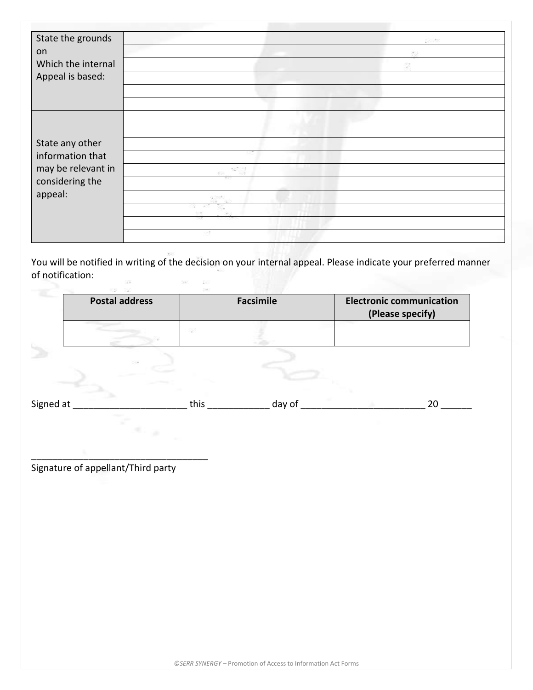| State the grounds  |     | 2008 |
|--------------------|-----|------|
| on                 |     | z.   |
| Which the internal |     |      |
| Appeal is based:   |     |      |
|                    |     |      |
|                    |     |      |
|                    |     |      |
|                    |     |      |
|                    |     |      |
| State any other    |     |      |
| information that   |     |      |
| may be relevant in |     |      |
| considering the    |     |      |
| appeal:            |     |      |
|                    | 583 |      |
|                    | -92 |      |
|                    | 53  |      |

You will be notified in writing of the decision on your internal appeal. Please indicate your preferred manner of notification: 

| <b>Postal address</b> |             | <b>Facsimile</b> | <b>Electronic communication</b><br>(Please specify) |    |
|-----------------------|-------------|------------------|-----------------------------------------------------|----|
|                       | $555 -$     |                  |                                                     |    |
|                       | $\geq \geq$ |                  |                                                     |    |
| Signed at             | this        | day of           |                                                     | 20 |
|                       |             |                  |                                                     |    |

Signature of appellant/Third party

\_\_\_\_\_\_\_\_\_\_\_\_\_\_\_\_\_\_\_\_\_\_\_\_\_\_\_\_\_\_\_\_\_\_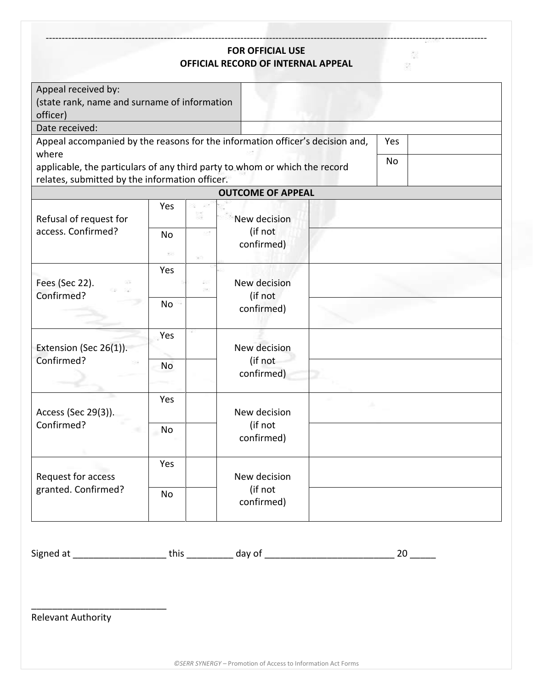### **FOR OFFICIAL USE OFFICIAL RECORD OF INTERNAL APPEAL**

------------------------------------------------------------------------------------------------------------------------------------------

3

| Appeal received by:<br>(state rank, name and surname of information<br>officer)<br>Date received:<br>Appeal accompanied by the reasons for the information officer's decision and,<br>where<br>applicable, the particulars of any third party to whom or which the record<br>relates, submitted by the information officer. |           |           | <b>OUTCOME OF APPEAL</b> |  | Yes<br>No. |
|-----------------------------------------------------------------------------------------------------------------------------------------------------------------------------------------------------------------------------------------------------------------------------------------------------------------------------|-----------|-----------|--------------------------|--|------------|
|                                                                                                                                                                                                                                                                                                                             | Yes       |           |                          |  |            |
| Refusal of request for                                                                                                                                                                                                                                                                                                      |           |           | New decision             |  |            |
| access. Confirmed?                                                                                                                                                                                                                                                                                                          | <b>No</b> |           | (if not                  |  |            |
|                                                                                                                                                                                                                                                                                                                             |           |           | confirmed)               |  |            |
|                                                                                                                                                                                                                                                                                                                             | 98        |           |                          |  |            |
|                                                                                                                                                                                                                                                                                                                             | Yes       |           |                          |  |            |
| Fees (Sec 22).<br>Confirmed?                                                                                                                                                                                                                                                                                                |           | 53<br>SS. | New decision             |  |            |
|                                                                                                                                                                                                                                                                                                                             |           |           | (if not                  |  |            |
|                                                                                                                                                                                                                                                                                                                             | No        |           | confirmed)               |  |            |
|                                                                                                                                                                                                                                                                                                                             | Yes       |           |                          |  |            |
| Extension (Sec 26(1)).                                                                                                                                                                                                                                                                                                      |           |           | New decision             |  |            |
| Confirmed?                                                                                                                                                                                                                                                                                                                  | <b>No</b> |           | (if not                  |  |            |
|                                                                                                                                                                                                                                                                                                                             |           |           | confirmed)               |  |            |
|                                                                                                                                                                                                                                                                                                                             |           |           |                          |  |            |
|                                                                                                                                                                                                                                                                                                                             | Yes       |           |                          |  |            |
| Access (Sec 29(3)).                                                                                                                                                                                                                                                                                                         |           |           | New decision             |  |            |
| Confirmed?                                                                                                                                                                                                                                                                                                                  | No        |           | (if not                  |  |            |
|                                                                                                                                                                                                                                                                                                                             |           |           | confirmed)               |  |            |
|                                                                                                                                                                                                                                                                                                                             | Yes       |           |                          |  |            |
| Request for access                                                                                                                                                                                                                                                                                                          |           |           | New decision             |  |            |
| granted. Confirmed?                                                                                                                                                                                                                                                                                                         | No        |           | (if not                  |  |            |
|                                                                                                                                                                                                                                                                                                                             |           |           | confirmed)               |  |            |
|                                                                                                                                                                                                                                                                                                                             |           |           |                          |  |            |
|                                                                                                                                                                                                                                                                                                                             |           |           |                          |  |            |

Signed at \_\_\_\_\_\_\_\_\_\_\_\_\_\_\_\_\_\_\_\_\_\_\_\_\_\_\_\_ this \_\_\_\_\_\_\_\_\_\_\_\_\_ day of \_\_\_\_\_\_\_\_\_\_\_\_\_\_\_\_\_\_\_\_\_\_\_\_\_\_\_\_\_\_\_\_\_\_ 20 \_\_\_\_\_\_\_

Relevant Authority

\_\_\_\_\_\_\_\_\_\_\_\_\_\_\_\_\_\_\_\_\_\_\_\_\_\_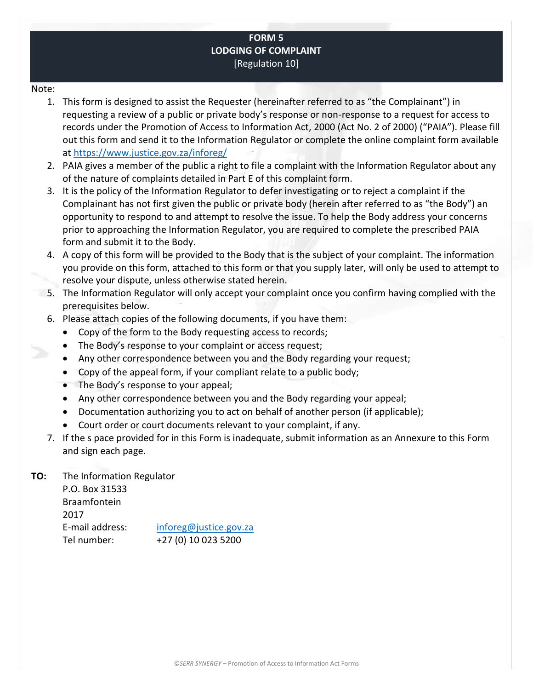### **FORM 5 LODGING OF COMPLAINT** [Regulation 10]

#### Note:

- 1. This form is designed to assist the Requester (hereinafter referred to as "the Complainant") in requesting a review of a public or private body's response or non-response to a request for access to records under the Promotion of Access to Information Act, 2000 (Act No. 2 of 2000) ("PAIA"). Please fill out this form and send it to the Information Regulator or complete the online complaint form available at<https://www.justice.gov.za/inforeg/>
- 2. PAIA gives a member of the public a right to file a complaint with the Information Regulator about any of the nature of complaints detailed in Part E of this complaint form.
- 3. It is the policy of the Information Regulator to defer investigating or to reject a complaint if the Complainant has not first given the public or private body (herein after referred to as "the Body") an opportunity to respond to and attempt to resolve the issue. To help the Body address your concerns prior to approaching the Information Regulator, you are required to complete the prescribed PAIA form and submit it to the Body.
- 4. A copy of this form will be provided to the Body that is the subject of your complaint. The information you provide on this form, attached to this form or that you supply later, will only be used to attempt to resolve your dispute, unless otherwise stated herein.
- 5. The Information Regulator will only accept your complaint once you confirm having complied with the prerequisites below.
- 6. Please attach copies of the following documents, if you have them:
	- Copy of the form to the Body requesting access to records;
	- The Body's response to your complaint or access request;
	- Any other correspondence between you and the Body regarding your request;
	- Copy of the appeal form, if your compliant relate to a public body;
	- The Body's response to your appeal;
	- Any other correspondence between you and the Body regarding your appeal;
	- Documentation authorizing you to act on behalf of another person (if applicable);
	- Court order or court documents relevant to your complaint, if any.
- 7. If the s pace provided for in this Form is inadequate, submit information as an Annexure to this Form and sign each page.

### **TO:** The Information Regulator

P.O. Box 31533 Braamfontein 2017 E-mail address: [inforeg@justice.gov.za](mailto:inforeg@justice.gov.za) Tel number: +27 (0) 10 023 5200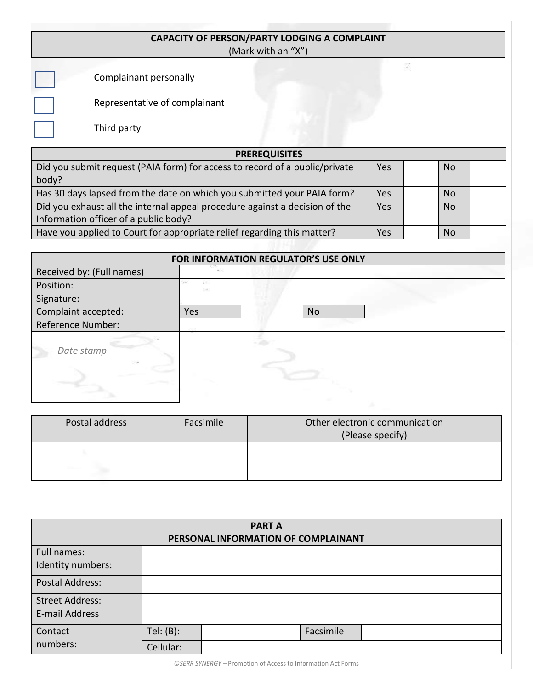| <b>CAPACITY OF PERSON/PARTY LODGING A COMPLAINT</b> |  |
|-----------------------------------------------------|--|
| (Mark with an "X")                                  |  |

Complainant personally

Representative of complainant

Third party

| <b>PREREQUISITES</b>                                                        |     |  |           |  |  |  |  |
|-----------------------------------------------------------------------------|-----|--|-----------|--|--|--|--|
| Did you submit request (PAIA form) for access to record of a public/private | Yes |  | <b>No</b> |  |  |  |  |
| body?                                                                       |     |  |           |  |  |  |  |
| Has 30 days lapsed from the date on which you submitted your PAIA form?     | Yes |  | No.       |  |  |  |  |
| Did you exhaust all the internal appeal procedure against a decision of the | Yes |  | <b>No</b> |  |  |  |  |
| Information officer of a public body?                                       |     |  |           |  |  |  |  |
| Have you applied to Court for appropriate relief regarding this matter?     | Yes |  | <b>No</b> |  |  |  |  |
|                                                                             |     |  |           |  |  |  |  |

| FOR INFORMATION REGULATOR'S USE ONLY |     |  |           |  |  |  |
|--------------------------------------|-----|--|-----------|--|--|--|
| Received by: (Full names)            |     |  |           |  |  |  |
| Position:                            |     |  |           |  |  |  |
| Signature:                           |     |  |           |  |  |  |
| Complaint accepted:                  | Yes |  | <b>No</b> |  |  |  |
| <b>Reference Number:</b>             |     |  |           |  |  |  |
| Date stamp<br>33                     |     |  |           |  |  |  |

| Postal address | Facsimile | Other electronic communication<br>(Please specify) |
|----------------|-----------|----------------------------------------------------|
|                |           |                                                    |

| <b>PART A</b><br>PERSONAL INFORMATION OF COMPLAINANT |           |  |           |  |  |
|------------------------------------------------------|-----------|--|-----------|--|--|
| Full names:                                          |           |  |           |  |  |
| Identity numbers:                                    |           |  |           |  |  |
| <b>Postal Address:</b>                               |           |  |           |  |  |
| <b>Street Address:</b>                               |           |  |           |  |  |
| E-mail Address                                       |           |  |           |  |  |
| Contact                                              | Tel: (B): |  | Facsimile |  |  |
| numbers:                                             | Cellular: |  |           |  |  |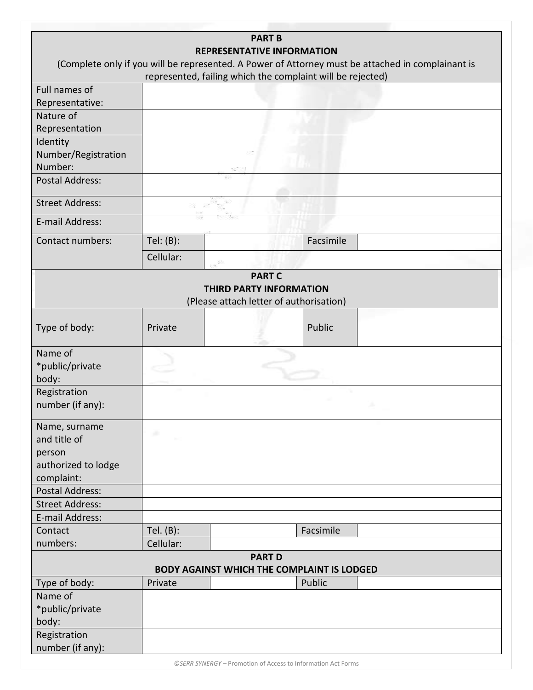|                        |           | <b>PART B</b>                                                      |           |                                                                                                   |
|------------------------|-----------|--------------------------------------------------------------------|-----------|---------------------------------------------------------------------------------------------------|
|                        |           | <b>REPRESENTATIVE INFORMATION</b>                                  |           |                                                                                                   |
|                        |           |                                                                    |           | (Complete only if you will be represented. A Power of Attorney must be attached in complainant is |
|                        |           | represented, failing which the complaint will be rejected)         |           |                                                                                                   |
| Full names of          |           |                                                                    |           |                                                                                                   |
| Representative:        |           |                                                                    |           |                                                                                                   |
| Nature of              |           |                                                                    |           |                                                                                                   |
| Representation         |           |                                                                    |           |                                                                                                   |
| Identity               |           |                                                                    |           |                                                                                                   |
| Number/Registration    |           |                                                                    |           |                                                                                                   |
| Number:                |           |                                                                    |           |                                                                                                   |
| <b>Postal Address:</b> |           |                                                                    |           |                                                                                                   |
| <b>Street Address:</b> |           |                                                                    |           |                                                                                                   |
| E-mail Address:        |           |                                                                    |           |                                                                                                   |
| Contact numbers:       | Tel: (B): |                                                                    | Facsimile |                                                                                                   |
|                        | Cellular: |                                                                    |           |                                                                                                   |
|                        |           | <b>PART C</b>                                                      |           |                                                                                                   |
|                        |           | <b>THIRD PARTY INFORMATION</b>                                     |           |                                                                                                   |
|                        |           | (Please attach letter of authorisation)                            |           |                                                                                                   |
|                        |           |                                                                    |           |                                                                                                   |
| Type of body:          | Private   |                                                                    | Public    |                                                                                                   |
| Name of                |           |                                                                    |           |                                                                                                   |
| *public/private        |           |                                                                    |           |                                                                                                   |
| body:                  |           |                                                                    |           |                                                                                                   |
| Registration           |           |                                                                    |           |                                                                                                   |
| number (if any):       |           |                                                                    |           |                                                                                                   |
| Name, surname          |           |                                                                    |           |                                                                                                   |
| and title of           | ÷         |                                                                    |           |                                                                                                   |
| person                 |           |                                                                    |           |                                                                                                   |
| authorized to lodge    |           |                                                                    |           |                                                                                                   |
| complaint:             |           |                                                                    |           |                                                                                                   |
| <b>Postal Address:</b> |           |                                                                    |           |                                                                                                   |
| <b>Street Address:</b> |           |                                                                    |           |                                                                                                   |
| E-mail Address:        |           |                                                                    |           |                                                                                                   |
| Contact                | Tel. (B): |                                                                    | Facsimile |                                                                                                   |
| numbers:               | Cellular: |                                                                    |           |                                                                                                   |
|                        |           | <b>PART D</b><br><b>BODY AGAINST WHICH THE COMPLAINT IS LODGED</b> |           |                                                                                                   |
| Type of body:          | Private   |                                                                    | Public    |                                                                                                   |
| Name of                |           |                                                                    |           |                                                                                                   |
| *public/private        |           |                                                                    |           |                                                                                                   |
| body:                  |           |                                                                    |           |                                                                                                   |
| Registration           |           |                                                                    |           |                                                                                                   |
| number (if any):       |           |                                                                    |           |                                                                                                   |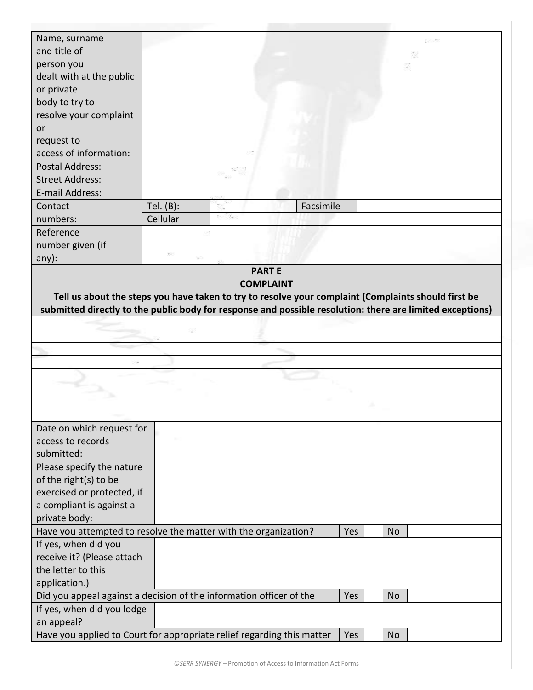| Name, surname              |                                                                                                                         |
|----------------------------|-------------------------------------------------------------------------------------------------------------------------|
| and title of               |                                                                                                                         |
| person you                 |                                                                                                                         |
| dealt with at the public   |                                                                                                                         |
| or private                 |                                                                                                                         |
| body to try to             |                                                                                                                         |
| resolve your complaint     |                                                                                                                         |
| or                         |                                                                                                                         |
| request to                 |                                                                                                                         |
| access of information:     |                                                                                                                         |
| <b>Postal Address:</b>     |                                                                                                                         |
| <b>Street Address:</b>     |                                                                                                                         |
| E-mail Address:            |                                                                                                                         |
| Contact                    | Facsimile<br>Tel. $(B)$ :                                                                                               |
| numbers:                   |                                                                                                                         |
|                            | Cellular                                                                                                                |
| Reference                  |                                                                                                                         |
| number given (if           |                                                                                                                         |
| $any)$ :                   | <b>PARTE</b>                                                                                                            |
|                            | <b>COMPLAINT</b><br>Tell us about the steps you have taken to try to resolve your complaint (Complaints should first be |
|                            | submitted directly to the public body for response and possible resolution: there are limited exceptions)               |
|                            |                                                                                                                         |
|                            |                                                                                                                         |
|                            |                                                                                                                         |
|                            |                                                                                                                         |
|                            |                                                                                                                         |
|                            |                                                                                                                         |
|                            |                                                                                                                         |
|                            |                                                                                                                         |
| Date on which request for  |                                                                                                                         |
| access to records          |                                                                                                                         |
| submitted:                 |                                                                                                                         |
| Please specify the nature  |                                                                                                                         |
| of the right(s) to be      |                                                                                                                         |
| exercised or protected, if |                                                                                                                         |
|                            |                                                                                                                         |
| a compliant is against a   |                                                                                                                         |
| private body:              |                                                                                                                         |
|                            | Have you attempted to resolve the matter with the organization?<br>Yes<br><b>No</b>                                     |
| If yes, when did you       |                                                                                                                         |
| receive it? (Please attach |                                                                                                                         |
| the letter to this         |                                                                                                                         |
| application.)              |                                                                                                                         |
|                            | Did you appeal against a decision of the information officer of the<br>Yes<br><b>No</b>                                 |
| If yes, when did you lodge |                                                                                                                         |
| an appeal?                 | Have you applied to Court for appropriate relief regarding this matter<br>Yes<br><b>No</b>                              |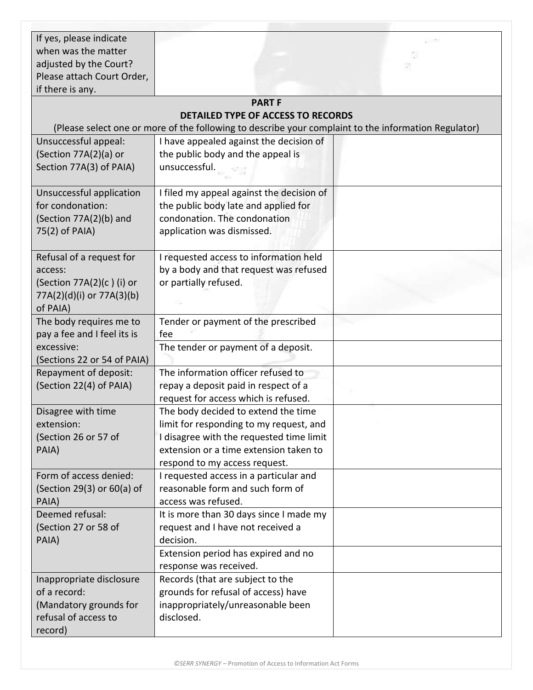| If yes, please indicate<br>when was the matter                                                           |                                                                                                                                                                                                       | 자동 |
|----------------------------------------------------------------------------------------------------------|-------------------------------------------------------------------------------------------------------------------------------------------------------------------------------------------------------|----|
| adjusted by the Court?                                                                                   |                                                                                                                                                                                                       |    |
| Please attach Court Order,<br>if there is any.                                                           |                                                                                                                                                                                                       |    |
|                                                                                                          | <b>PART F</b>                                                                                                                                                                                         |    |
|                                                                                                          | <b>DETAILED TYPE OF ACCESS TO RECORDS</b>                                                                                                                                                             |    |
|                                                                                                          | (Please select one or more of the following to describe your complaint to the information Regulator)                                                                                                  |    |
| Unsuccessful appeal:<br>(Section 77A(2)(a) or<br>Section 77A(3) of PAIA)                                 | I have appealed against the decision of<br>the public body and the appeal is<br>unsuccessful.                                                                                                         |    |
| Unsuccessful application<br>for condonation:<br>(Section 77A(2)(b) and<br>75(2) of PAIA)                 | I filed my appeal against the decision of<br>the public body late and applied for<br>condonation. The condonation<br>application was dismissed.                                                       |    |
| Refusal of a request for<br>access:<br>(Section 77A(2)(c)(i) or<br>77A(2)(d)(i) or 77A(3)(b)<br>of PAIA) | I requested access to information held<br>by a body and that request was refused<br>or partially refused.                                                                                             |    |
| The body requires me to<br>pay a fee and I feel its is                                                   | Tender or payment of the prescribed<br>fee                                                                                                                                                            |    |
| excessive:<br>(Sections 22 or 54 of PAIA)                                                                | The tender or payment of a deposit.                                                                                                                                                                   |    |
| Repayment of deposit:<br>(Section 22(4) of PAIA)                                                         | The information officer refused to<br>repay a deposit paid in respect of a<br>request for access which is refused.                                                                                    |    |
| Disagree with time<br>extension:<br>(Section 26 or 57 of<br>PAIA)                                        | The body decided to extend the time<br>limit for responding to my request, and<br>I disagree with the requested time limit<br>extension or a time extension taken to<br>respond to my access request. |    |
| Form of access denied:<br>(Section 29(3) or 60(a) of<br>PAIA)                                            | I requested access in a particular and<br>reasonable form and such form of<br>access was refused.                                                                                                     |    |
| Deemed refusal:<br>(Section 27 or 58 of<br>PAIA)                                                         | It is more than 30 days since I made my<br>request and I have not received a<br>decision.<br>Extension period has expired and no<br>response was received.                                            |    |
| Inappropriate disclosure<br>of a record:<br>(Mandatory grounds for<br>refusal of access to<br>record)    | Records (that are subject to the<br>grounds for refusal of access) have<br>inappropriately/unreasonable been<br>disclosed.                                                                            |    |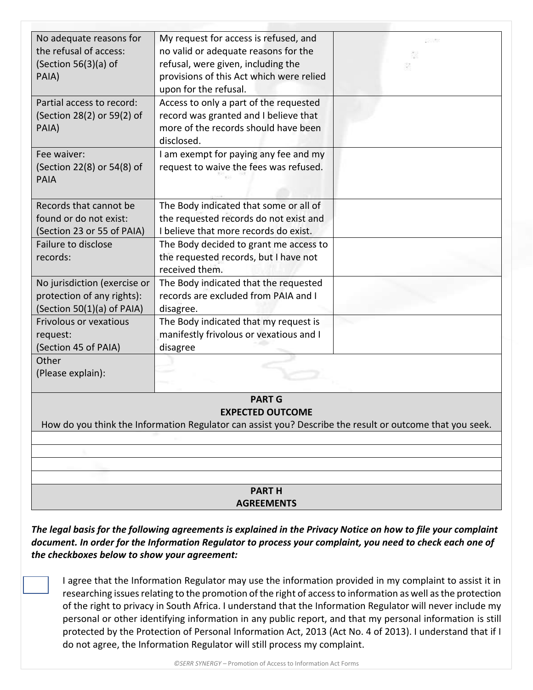| No adequate reasons for       | My request for access is refused, and                                                                    |  |
|-------------------------------|----------------------------------------------------------------------------------------------------------|--|
| the refusal of access:        | no valid or adequate reasons for the                                                                     |  |
| (Section $56(3)(a)$ of        | refusal, were given, including the                                                                       |  |
| PAIA)                         | provisions of this Act which were relied                                                                 |  |
|                               | upon for the refusal.                                                                                    |  |
| Partial access to record:     | Access to only a part of the requested                                                                   |  |
| (Section 28(2) or 59(2) of    | record was granted and I believe that                                                                    |  |
| PAIA)                         | more of the records should have been                                                                     |  |
|                               | disclosed.                                                                                               |  |
| Fee waiver:                   | I am exempt for paying any fee and my                                                                    |  |
| (Section 22(8) or 54(8) of    | request to waive the fees was refused.                                                                   |  |
| <b>PAIA</b>                   |                                                                                                          |  |
|                               |                                                                                                          |  |
| Records that cannot be        | The Body indicated that some or all of                                                                   |  |
| found or do not exist:        | the requested records do not exist and                                                                   |  |
| (Section 23 or 55 of PAIA)    | I believe that more records do exist.                                                                    |  |
| Failure to disclose           | The Body decided to grant me access to                                                                   |  |
| records:                      | the requested records, but I have not                                                                    |  |
|                               | received them.                                                                                           |  |
| No jurisdiction (exercise or  | The Body indicated that the requested                                                                    |  |
| protection of any rights):    | records are excluded from PAIA and I                                                                     |  |
| (Section 50(1)(a) of PAIA)    | disagree.                                                                                                |  |
| <b>Frivolous or vexatious</b> | The Body indicated that my request is                                                                    |  |
| request:                      | manifestly frivolous or vexatious and I                                                                  |  |
| (Section 45 of PAIA)          | disagree                                                                                                 |  |
| Other                         |                                                                                                          |  |
| (Please explain):             |                                                                                                          |  |
|                               |                                                                                                          |  |
|                               | <b>PART G</b>                                                                                            |  |
|                               | <b>EXPECTED OUTCOME</b>                                                                                  |  |
|                               | How do you think the Information Regulator can assist you? Describe the result or outcome that you seek. |  |
|                               |                                                                                                          |  |
|                               |                                                                                                          |  |
|                               |                                                                                                          |  |
|                               |                                                                                                          |  |
|                               | <b>PARTH</b>                                                                                             |  |
|                               | <b>AGREEMENTS</b>                                                                                        |  |

*The legal basis for the following agreements is explained in the Privacy Notice on how to file your complaint document. In order for the Information Regulator to process your complaint, you need to check each one of the checkboxes below to show your agreement:*

I agree that the Information Regulator may use the information provided in my complaint to assist it in researching issues relating to the promotion of the right of access to information as well as the protection of the right to privacy in South Africa. I understand that the Information Regulator will never include my personal or other identifying information in any public report, and that my personal information is still protected by the Protection of Personal Information Act, 2013 (Act No. 4 of 2013). I understand that if I do not agree, the Information Regulator will still process my complaint.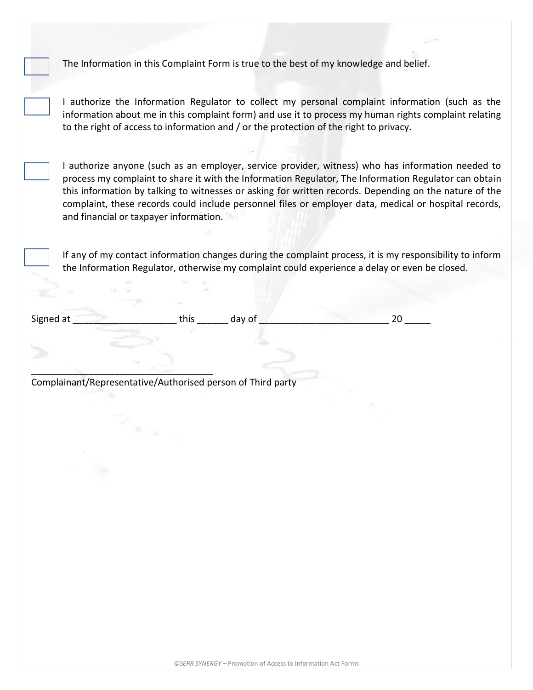The Information in this Complaint Form is true to the best of my knowledge and belief.

I authorize the Information Regulator to collect my personal complaint information (such as the information about me in this complaint form) and use it to process my human rights complaint relating to the right of access to information and / or the protection of the right to privacy.

I authorize anyone (such as an employer, service provider, witness) who has information needed to process my complaint to share it with the Information Regulator, The Information Regulator can obtain this information by talking to witnesses or asking for written records. Depending on the nature of the complaint, these records could include personnel files or employer data, medical or hospital records, and financial or taxpayer information.

If any of my contact information changes during the complaint process, it is my responsibility to inform the Information Regulator, otherwise my complaint could experience a delay or even be closed.

Signed at \_\_\_\_\_\_\_\_\_\_\_\_\_\_\_\_\_\_\_\_ this \_\_\_\_\_\_ day of \_\_\_\_\_\_\_\_\_\_\_\_\_\_\_\_\_\_\_\_\_\_\_\_\_ 20 \_\_\_\_\_

Complainant/Representative/Authorised person of Third party

\_\_\_\_\_\_\_\_\_\_\_\_\_\_\_\_\_\_\_\_\_\_\_\_\_\_\_\_\_\_\_\_\_\_\_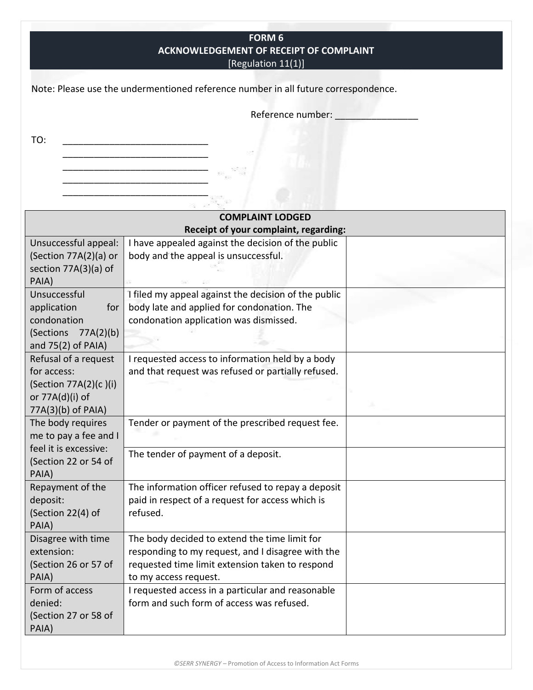**FORM 6 ACKNOWLEDGEMENT OF RECEIPT OF COMPLAINT** [Regulation 11(1)]

Note: Please use the undermentioned reference number in all future correspondence.

\_\_\_\_\_\_\_\_\_\_\_\_\_\_\_\_\_\_\_\_\_\_\_\_\_\_\_\_ \_\_\_\_\_\_\_\_\_\_\_\_\_\_\_\_\_\_\_\_\_\_\_\_\_\_\_\_ \_\_\_\_\_\_\_\_\_\_\_\_\_\_\_\_\_\_\_\_\_\_\_\_\_\_\_\_ Reference number: \_\_\_\_\_\_\_\_\_\_\_\_\_\_\_\_

TO: \_\_\_\_\_\_\_\_\_\_\_\_\_\_\_\_\_\_\_\_\_\_\_\_\_\_\_\_

|                                                                                                       | <b>COMPLAINT LODGED</b>                                                                                                                                                        |  |
|-------------------------------------------------------------------------------------------------------|--------------------------------------------------------------------------------------------------------------------------------------------------------------------------------|--|
|                                                                                                       | Receipt of your complaint, regarding:                                                                                                                                          |  |
| Unsuccessful appeal:<br>(Section 77A(2)(a) or<br>section 77A(3)(a) of<br>PAIA)                        | I have appealed against the decision of the public<br>body and the appeal is unsuccessful.                                                                                     |  |
| Unsuccessful<br>application<br>for<br>condonation<br>(Sections<br>77A(2)(b)<br>and 75(2) of PAIA)     | I filed my appeal against the decision of the public<br>body late and applied for condonation. The<br>condonation application was dismissed.                                   |  |
| Refusal of a request<br>for access:<br>(Section 77A(2)(c)(i)<br>or 77A(d)(i) of<br>77A(3)(b) of PAIA) | I requested access to information held by a body<br>and that request was refused or partially refused.                                                                         |  |
| The body requires<br>me to pay a fee and I<br>feel it is excessive:                                   | Tender or payment of the prescribed request fee.                                                                                                                               |  |
| (Section 22 or 54 of<br>PAIA)                                                                         | The tender of payment of a deposit.                                                                                                                                            |  |
| Repayment of the<br>deposit:<br>(Section 22(4) of<br>PAIA)                                            | The information officer refused to repay a deposit<br>paid in respect of a request for access which is<br>refused.                                                             |  |
| Disagree with time<br>extension:<br>(Section 26 or 57 of<br>PAIA)                                     | The body decided to extend the time limit for<br>responding to my request, and I disagree with the<br>requested time limit extension taken to respond<br>to my access request. |  |
| Form of access<br>denied:<br>(Section 27 or 58 of<br>PAIA)                                            | I requested access in a particular and reasonable<br>form and such form of access was refused.                                                                                 |  |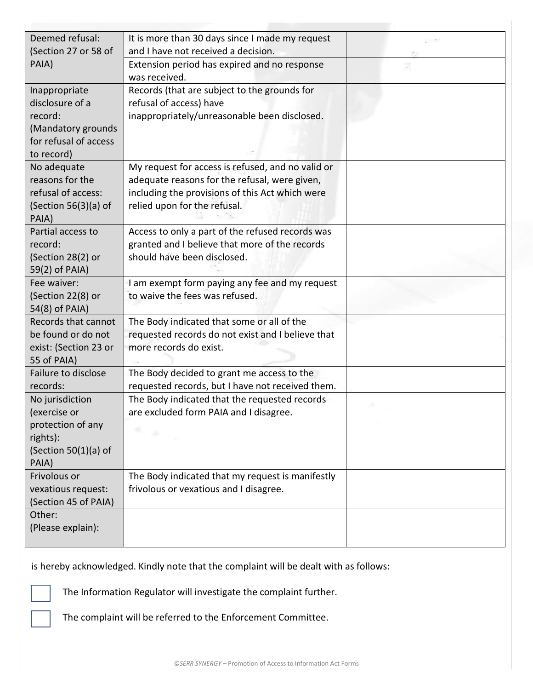| Deemed refusal:                       | It is more than 30 days since I made my request                                            | 533 |
|---------------------------------------|--------------------------------------------------------------------------------------------|-----|
| (Section 27 or 58 of                  | and I have not received a decision.                                                        |     |
| PAIA)                                 | Extension period has expired and no response                                               |     |
|                                       | was received.                                                                              |     |
| Inappropriate                         | Records (that are subject to the grounds for                                               |     |
| disclosure of a                       | refusal of access) have                                                                    |     |
| record:<br>(Mandatory grounds         | inappropriately/unreasonable been disclosed.                                               |     |
| for refusal of access                 |                                                                                            |     |
| to record)                            |                                                                                            |     |
| No adequate                           | My request for access is refused, and no valid or                                          |     |
| reasons for the                       | adequate reasons for the refusal, were given,                                              |     |
| refusal of access:                    | including the provisions of this Act which were                                            |     |
| (Section $56(3)(a)$ of                | relied upon for the refusal.                                                               |     |
| PAIA)                                 |                                                                                            |     |
| Partial access to                     | Access to only a part of the refused records was                                           |     |
| record:                               | granted and I believe that more of the records                                             |     |
| (Section 28(2) or                     | should have been disclosed.                                                                |     |
| 59(2) of PAIA)                        |                                                                                            |     |
| Fee waiver:                           | I am exempt form paying any fee and my request                                             |     |
| (Section 22(8) or                     | to waive the fees was refused.                                                             |     |
| 54(8) of PAIA)<br>Records that cannot | The Body indicated that some or all of the                                                 |     |
| be found or do not                    | requested records do not exist and I believe that                                          |     |
| exist: (Section 23 or                 | more records do exist.                                                                     |     |
| 55 of PAIA)                           |                                                                                            |     |
| Failure to disclose                   | The Body decided to grant me access to the                                                 |     |
| records:                              | requested records, but I have not received them.                                           |     |
| No jurisdiction                       | The Body indicated that the requested records                                              |     |
| (exercise or                          | are excluded form PAIA and I disagree.                                                     |     |
| protection of any                     | st i g                                                                                     |     |
| rights):                              |                                                                                            |     |
| (Section $50(1)(a)$ of                |                                                                                            |     |
| PAIA)                                 |                                                                                            |     |
| Frivolous or<br>vexatious request:    | The Body indicated that my request is manifestly<br>frivolous or vexatious and I disagree. |     |
| (Section 45 of PAIA)                  |                                                                                            |     |
| Other:                                |                                                                                            |     |
| (Please explain):                     |                                                                                            |     |
|                                       |                                                                                            |     |

is hereby acknowledged. Kindly note that the complaint will be dealt with as follows:

The Information Regulator will investigate the complaint further.

The complaint will be referred to the Enforcement Committee.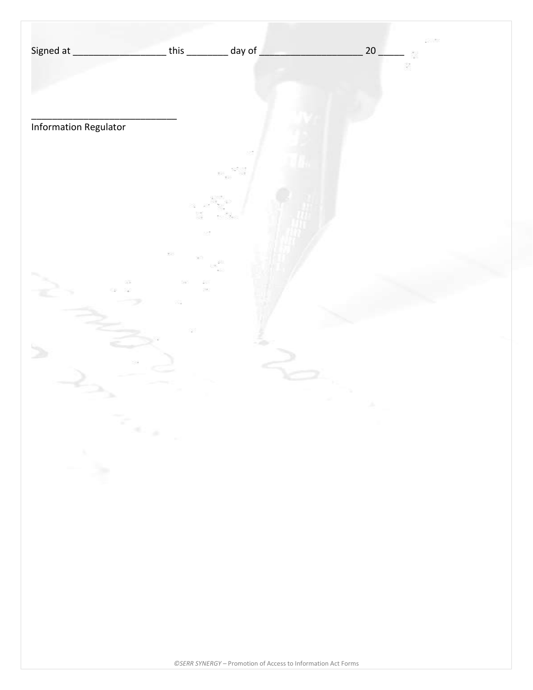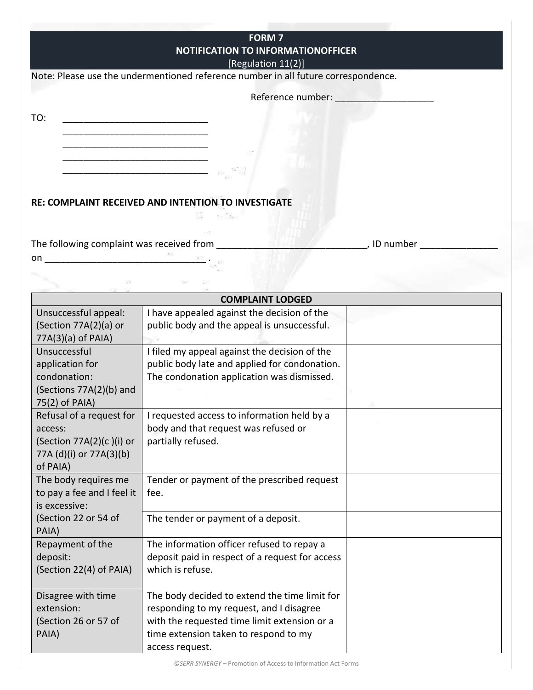|                                     | <b>FORM 7</b><br><b>NOTIFICATION TO INFORMATIONOFFICER</b><br>[Regulation 11(2)]                                    |             |
|-------------------------------------|---------------------------------------------------------------------------------------------------------------------|-------------|
|                                     | Note: Please use the undermentioned reference number in all future correspondence.                                  |             |
|                                     | Reference number: Network of the state of the state of the state of the state of the state of the state of the      |             |
|                                     |                                                                                                                     |             |
| TO:                                 | <u> 1989 - Johann John Stein, mars ar yw i brenin y cyfeiriau ar y cyfeiriau ar y cyfeiriau ar y cyfeiriau ar y</u> |             |
|                                     |                                                                                                                     |             |
|                                     |                                                                                                                     |             |
|                                     |                                                                                                                     |             |
|                                     | RE: COMPLAINT RECEIVED AND INTENTION TO INVESTIGATE                                                                 |             |
|                                     | The following complaint was received from                                                                           | , ID number |
|                                     |                                                                                                                     |             |
|                                     |                                                                                                                     |             |
|                                     | <b>COMPLAINT LODGED</b>                                                                                             |             |
| Unsuccessful appeal:                | I have appealed against the decision of the                                                                         |             |
| (Section 77A(2)(a) or               | public body and the appeal is unsuccessful.                                                                         |             |
| 77A(3)(a) of PAIA)                  |                                                                                                                     |             |
| Unsuccessful                        | I filed my appeal against the decision of the                                                                       |             |
| application for                     | public body late and applied for condonation.                                                                       |             |
| condonation:                        | The condonation application was dismissed.                                                                          |             |
| (Sections 77A(2)(b) and             |                                                                                                                     |             |
| 75(2) of PAIA)                      |                                                                                                                     |             |
| Refusal of a request for            | I requested access to information held by a                                                                         |             |
| access:<br>(Section 77A(2)(c)(i) or | body and that request was refused or<br>partially refused.                                                          |             |
| 77A (d)(i) or 77A(3)(b)             |                                                                                                                     |             |
| of PAIA)                            |                                                                                                                     |             |
| The body requires me                | Tender or payment of the prescribed request                                                                         |             |
| to pay a fee and I feel it          | fee.                                                                                                                |             |
| is excessive:                       |                                                                                                                     |             |
| (Section 22 or 54 of                | The tender or payment of a deposit.                                                                                 |             |
| PAIA)                               |                                                                                                                     |             |
| Repayment of the                    | The information officer refused to repay a                                                                          |             |
| deposit:                            | deposit paid in respect of a request for access                                                                     |             |
| (Section 22(4) of PAIA)             | which is refuse.                                                                                                    |             |
| Disagree with time                  | The body decided to extend the time limit for                                                                       |             |
| extension:                          | responding to my request, and I disagree                                                                            |             |
| (Section 26 or 57 of                | with the requested time limit extension or a                                                                        |             |
| PAIA)                               | time extension taken to respond to my                                                                               |             |
|                                     | access request.                                                                                                     |             |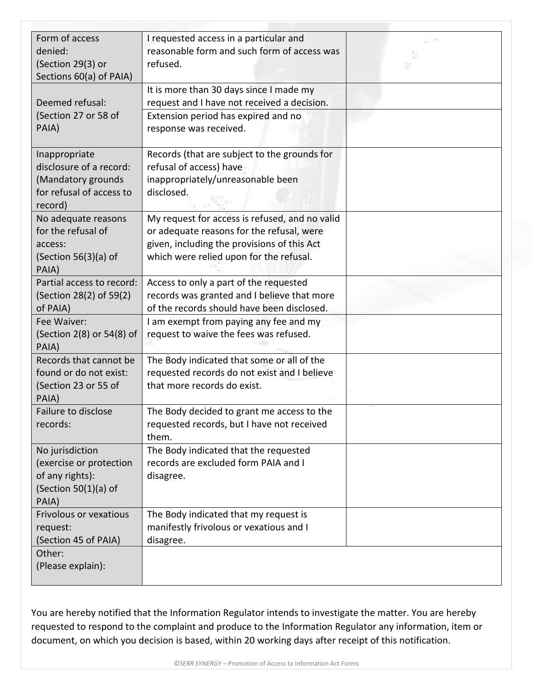| Form of access<br>denied:<br>(Section 29(3) or<br>Sections 60(a) of PAIA)                             | I requested access in a particular and<br>reasonable form and such form of access was<br>refused.                                                                                     |  |
|-------------------------------------------------------------------------------------------------------|---------------------------------------------------------------------------------------------------------------------------------------------------------------------------------------|--|
| Deemed refusal:<br>(Section 27 or 58 of<br>PAIA)                                                      | It is more than 30 days since I made my<br>request and I have not received a decision.<br>Extension period has expired and no<br>response was received.                               |  |
| Inappropriate<br>disclosure of a record:<br>(Mandatory grounds<br>for refusal of access to<br>record) | Records (that are subject to the grounds for<br>refusal of access) have<br>inappropriately/unreasonable been<br>disclosed.                                                            |  |
| No adequate reasons<br>for the refusal of<br>access:<br>(Section $56(3)(a)$ of<br>PAIA)               | My request for access is refused, and no valid<br>or adequate reasons for the refusal, were<br>given, including the provisions of this Act<br>which were relied upon for the refusal. |  |
| Partial access to record:<br>(Section 28(2) of 59(2)<br>of PAIA)                                      | Access to only a part of the requested<br>records was granted and I believe that more<br>of the records should have been disclosed.                                                   |  |
| Fee Waiver:<br>(Section 2(8) or 54(8) of<br>PAIA)                                                     | I am exempt from paying any fee and my<br>request to waive the fees was refused.                                                                                                      |  |
| Records that cannot be<br>found or do not exist:<br>(Section 23 or 55 of<br>PAIA)                     | The Body indicated that some or all of the<br>requested records do not exist and I believe<br>that more records do exist.                                                             |  |
| Failure to disclose<br>records:                                                                       | The Body decided to grant me access to the<br>requested records, but I have not received<br>them.                                                                                     |  |
| No jurisdiction<br>(exercise or protection<br>of any rights):<br>(Section $50(1)(a)$ of<br>PAIA)      | The Body indicated that the requested<br>records are excluded form PAIA and I<br>disagree.                                                                                            |  |
| Frivolous or vexatious<br>request:<br>(Section 45 of PAIA)                                            | The Body indicated that my request is<br>manifestly frivolous or vexatious and I<br>disagree.                                                                                         |  |
| Other:<br>(Please explain):                                                                           |                                                                                                                                                                                       |  |

You are hereby notified that the Information Regulator intends to investigate the matter. You are hereby requested to respond to the complaint and produce to the Information Regulator any information, item or document, on which you decision is based, within 20 working days after receipt of this notification.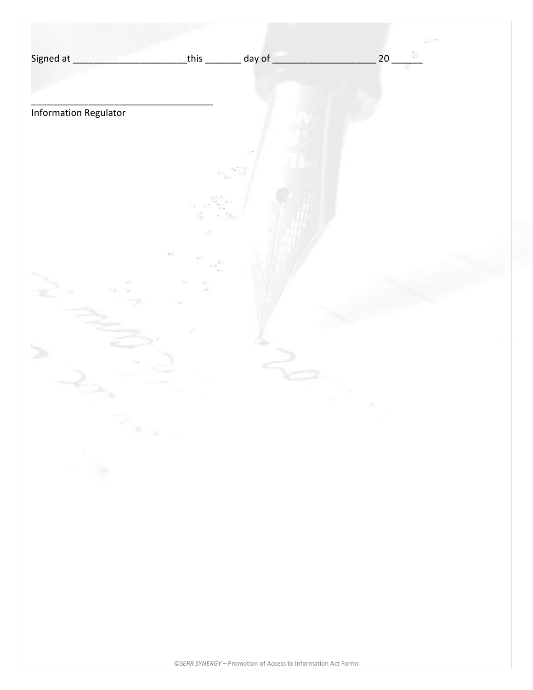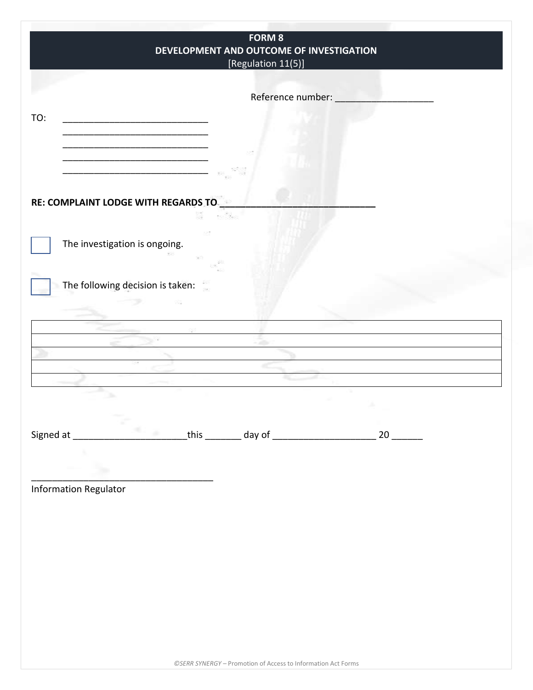| <b>FORM 8</b><br>DEVELOPMENT AND OUTCOME OF INVESTIGATION<br>[Regulation 11(5)] |
|---------------------------------------------------------------------------------|
|                                                                                 |
| Reference number:                                                               |
| TO:                                                                             |
|                                                                                 |
|                                                                                 |
| RE: COMPLAINT LODGE WITH REGARDS TO                                             |
|                                                                                 |
| The investigation is ongoing.                                                   |
|                                                                                 |
| The following decision is taken:                                                |
|                                                                                 |
|                                                                                 |
|                                                                                 |
|                                                                                 |
|                                                                                 |
|                                                                                 |
|                                                                                 |
| ٠                                                                               |
|                                                                                 |
| <b>Information Regulator</b>                                                    |
|                                                                                 |
|                                                                                 |
|                                                                                 |
|                                                                                 |
|                                                                                 |
|                                                                                 |
|                                                                                 |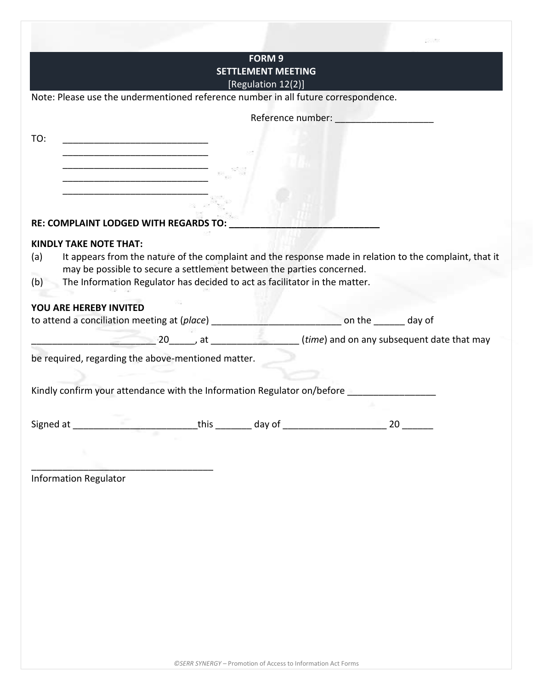| <b>SETTLEMENT MEETING</b><br>[Regulation 12(2)]<br>Note: Please use the undermentioned reference number in all future correspondence.<br>Reference number: Network<br>TO:<br><u> 1980 - Johann John Stein, mars ar yw i brenin y cyfeiriad y cyfeiriad y cyfeiriad y cyfeiriad y cyfeiriad y c</u><br>RE: COMPLAINT LODGED WITH REGARDS TO:<br><b>KINDLY TAKE NOTE THAT:</b><br>It appears from the nature of the complaint and the response made in relation to the complaint, that it<br>(a)<br>may be possible to secure a settlement between the parties concerned.<br>The Information Regulator has decided to act as facilitator in the matter.<br>(b)<br>YOU ARE HEREBY INVITED<br>an the same day of<br>to attend a conciliation meeting at (place) ____________<br>be required, regarding the above-mentioned matter.<br>Kindly confirm your attendance with the Information Regulator on/before ________________<br>__this __________ day of _<br>Signed at<br>20<br><b>Information Regulator</b> |  | <b>FORM 9</b> |  |
|-------------------------------------------------------------------------------------------------------------------------------------------------------------------------------------------------------------------------------------------------------------------------------------------------------------------------------------------------------------------------------------------------------------------------------------------------------------------------------------------------------------------------------------------------------------------------------------------------------------------------------------------------------------------------------------------------------------------------------------------------------------------------------------------------------------------------------------------------------------------------------------------------------------------------------------------------------------------------------------------------------------|--|---------------|--|
|                                                                                                                                                                                                                                                                                                                                                                                                                                                                                                                                                                                                                                                                                                                                                                                                                                                                                                                                                                                                             |  |               |  |
|                                                                                                                                                                                                                                                                                                                                                                                                                                                                                                                                                                                                                                                                                                                                                                                                                                                                                                                                                                                                             |  |               |  |
|                                                                                                                                                                                                                                                                                                                                                                                                                                                                                                                                                                                                                                                                                                                                                                                                                                                                                                                                                                                                             |  |               |  |
|                                                                                                                                                                                                                                                                                                                                                                                                                                                                                                                                                                                                                                                                                                                                                                                                                                                                                                                                                                                                             |  |               |  |
|                                                                                                                                                                                                                                                                                                                                                                                                                                                                                                                                                                                                                                                                                                                                                                                                                                                                                                                                                                                                             |  |               |  |
|                                                                                                                                                                                                                                                                                                                                                                                                                                                                                                                                                                                                                                                                                                                                                                                                                                                                                                                                                                                                             |  |               |  |
|                                                                                                                                                                                                                                                                                                                                                                                                                                                                                                                                                                                                                                                                                                                                                                                                                                                                                                                                                                                                             |  |               |  |
|                                                                                                                                                                                                                                                                                                                                                                                                                                                                                                                                                                                                                                                                                                                                                                                                                                                                                                                                                                                                             |  |               |  |
|                                                                                                                                                                                                                                                                                                                                                                                                                                                                                                                                                                                                                                                                                                                                                                                                                                                                                                                                                                                                             |  |               |  |
|                                                                                                                                                                                                                                                                                                                                                                                                                                                                                                                                                                                                                                                                                                                                                                                                                                                                                                                                                                                                             |  |               |  |
|                                                                                                                                                                                                                                                                                                                                                                                                                                                                                                                                                                                                                                                                                                                                                                                                                                                                                                                                                                                                             |  |               |  |
|                                                                                                                                                                                                                                                                                                                                                                                                                                                                                                                                                                                                                                                                                                                                                                                                                                                                                                                                                                                                             |  |               |  |
|                                                                                                                                                                                                                                                                                                                                                                                                                                                                                                                                                                                                                                                                                                                                                                                                                                                                                                                                                                                                             |  |               |  |
|                                                                                                                                                                                                                                                                                                                                                                                                                                                                                                                                                                                                                                                                                                                                                                                                                                                                                                                                                                                                             |  |               |  |
|                                                                                                                                                                                                                                                                                                                                                                                                                                                                                                                                                                                                                                                                                                                                                                                                                                                                                                                                                                                                             |  |               |  |
|                                                                                                                                                                                                                                                                                                                                                                                                                                                                                                                                                                                                                                                                                                                                                                                                                                                                                                                                                                                                             |  |               |  |
|                                                                                                                                                                                                                                                                                                                                                                                                                                                                                                                                                                                                                                                                                                                                                                                                                                                                                                                                                                                                             |  |               |  |
|                                                                                                                                                                                                                                                                                                                                                                                                                                                                                                                                                                                                                                                                                                                                                                                                                                                                                                                                                                                                             |  |               |  |
|                                                                                                                                                                                                                                                                                                                                                                                                                                                                                                                                                                                                                                                                                                                                                                                                                                                                                                                                                                                                             |  |               |  |
|                                                                                                                                                                                                                                                                                                                                                                                                                                                                                                                                                                                                                                                                                                                                                                                                                                                                                                                                                                                                             |  |               |  |
|                                                                                                                                                                                                                                                                                                                                                                                                                                                                                                                                                                                                                                                                                                                                                                                                                                                                                                                                                                                                             |  |               |  |
|                                                                                                                                                                                                                                                                                                                                                                                                                                                                                                                                                                                                                                                                                                                                                                                                                                                                                                                                                                                                             |  |               |  |
|                                                                                                                                                                                                                                                                                                                                                                                                                                                                                                                                                                                                                                                                                                                                                                                                                                                                                                                                                                                                             |  |               |  |
|                                                                                                                                                                                                                                                                                                                                                                                                                                                                                                                                                                                                                                                                                                                                                                                                                                                                                                                                                                                                             |  |               |  |
|                                                                                                                                                                                                                                                                                                                                                                                                                                                                                                                                                                                                                                                                                                                                                                                                                                                                                                                                                                                                             |  |               |  |
|                                                                                                                                                                                                                                                                                                                                                                                                                                                                                                                                                                                                                                                                                                                                                                                                                                                                                                                                                                                                             |  |               |  |
|                                                                                                                                                                                                                                                                                                                                                                                                                                                                                                                                                                                                                                                                                                                                                                                                                                                                                                                                                                                                             |  |               |  |
|                                                                                                                                                                                                                                                                                                                                                                                                                                                                                                                                                                                                                                                                                                                                                                                                                                                                                                                                                                                                             |  |               |  |
|                                                                                                                                                                                                                                                                                                                                                                                                                                                                                                                                                                                                                                                                                                                                                                                                                                                                                                                                                                                                             |  |               |  |
|                                                                                                                                                                                                                                                                                                                                                                                                                                                                                                                                                                                                                                                                                                                                                                                                                                                                                                                                                                                                             |  |               |  |
|                                                                                                                                                                                                                                                                                                                                                                                                                                                                                                                                                                                                                                                                                                                                                                                                                                                                                                                                                                                                             |  |               |  |
|                                                                                                                                                                                                                                                                                                                                                                                                                                                                                                                                                                                                                                                                                                                                                                                                                                                                                                                                                                                                             |  |               |  |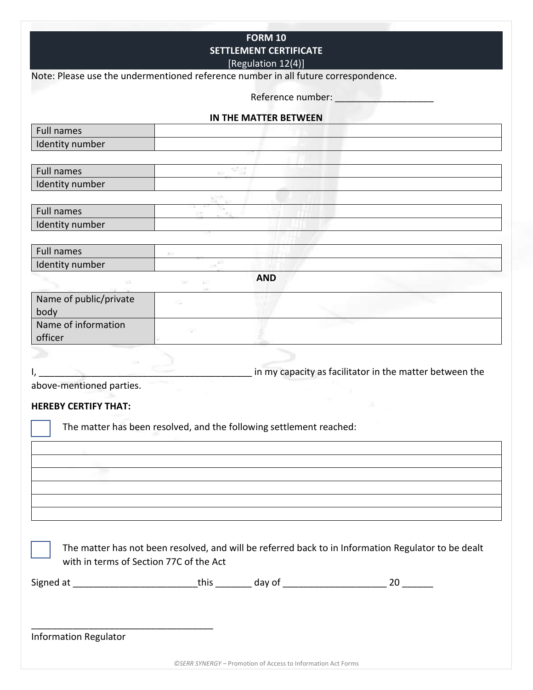|                                                                                    |     | <b>FORM 10</b>                |                                                                                                     |  |
|------------------------------------------------------------------------------------|-----|-------------------------------|-----------------------------------------------------------------------------------------------------|--|
|                                                                                    |     | <b>SETTLEMENT CERTIFICATE</b> |                                                                                                     |  |
|                                                                                    |     | [Regulation 12(4)]            |                                                                                                     |  |
| Note: Please use the undermentioned reference number in all future correspondence. |     |                               |                                                                                                     |  |
|                                                                                    |     | Reference number:             |                                                                                                     |  |
|                                                                                    |     |                               |                                                                                                     |  |
|                                                                                    |     | IN THE MATTER BETWEEN         |                                                                                                     |  |
| <b>Full names</b>                                                                  |     |                               |                                                                                                     |  |
| Identity number                                                                    |     |                               |                                                                                                     |  |
|                                                                                    |     |                               |                                                                                                     |  |
| Full names                                                                         |     |                               |                                                                                                     |  |
| Identity number                                                                    |     |                               |                                                                                                     |  |
|                                                                                    |     |                               |                                                                                                     |  |
| <b>Full names</b>                                                                  |     |                               |                                                                                                     |  |
| Identity number                                                                    |     |                               |                                                                                                     |  |
|                                                                                    |     |                               |                                                                                                     |  |
| <b>Full names</b>                                                                  | 28  |                               |                                                                                                     |  |
| Identity number                                                                    |     |                               |                                                                                                     |  |
| 38                                                                                 | 88  | <b>AND</b>                    |                                                                                                     |  |
| Name of public/private                                                             | 753 |                               |                                                                                                     |  |
| body                                                                               |     |                               |                                                                                                     |  |
| Name of information                                                                | 95  |                               |                                                                                                     |  |
| officer                                                                            |     |                               |                                                                                                     |  |
|                                                                                    |     |                               |                                                                                                     |  |
|                                                                                    |     |                               | in my capacity as facilitator in the matter between the                                             |  |
| above-mentioned parties.                                                           |     |                               |                                                                                                     |  |
|                                                                                    |     |                               |                                                                                                     |  |
| <b>HEREBY CERTIFY THAT:</b>                                                        |     |                               |                                                                                                     |  |
| The matter has been resolved, and the following settlement reached:                |     |                               |                                                                                                     |  |
|                                                                                    |     |                               |                                                                                                     |  |
|                                                                                    |     |                               |                                                                                                     |  |
|                                                                                    |     |                               |                                                                                                     |  |
|                                                                                    |     |                               |                                                                                                     |  |
|                                                                                    |     |                               |                                                                                                     |  |
|                                                                                    |     |                               |                                                                                                     |  |
|                                                                                    |     |                               |                                                                                                     |  |
|                                                                                    |     |                               |                                                                                                     |  |
|                                                                                    |     |                               | The matter has not been resolved, and will be referred back to in Information Regulator to be dealt |  |
| with in terms of Section 77C of the Act                                            |     |                               |                                                                                                     |  |
|                                                                                    |     |                               |                                                                                                     |  |
|                                                                                    |     |                               |                                                                                                     |  |
|                                                                                    |     |                               |                                                                                                     |  |
|                                                                                    |     |                               |                                                                                                     |  |
| <b>Information Regulator</b>                                                       |     |                               |                                                                                                     |  |
|                                                                                    |     |                               |                                                                                                     |  |
|                                                                                    |     |                               |                                                                                                     |  |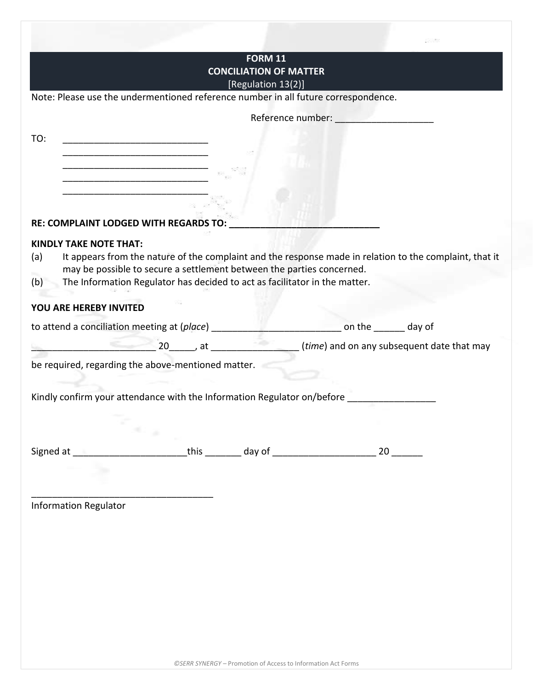|                               |                                                                                                                       | <b>FORM 11</b><br><b>CONCILIATION OF MATTER</b> |                                                                                                                |  |
|-------------------------------|-----------------------------------------------------------------------------------------------------------------------|-------------------------------------------------|----------------------------------------------------------------------------------------------------------------|--|
|                               |                                                                                                                       | [Regulation 13(2)]                              |                                                                                                                |  |
|                               | Note: Please use the undermentioned reference number in all future correspondence.                                    |                                                 |                                                                                                                |  |
|                               |                                                                                                                       |                                                 | Reference number: Network of the state of the state of the state of the state of the state of the state of the |  |
| TO:                           |                                                                                                                       |                                                 |                                                                                                                |  |
|                               | <u> 1989 - Johann John Stein, mars ar yw i brenin y cynnwys y cynnwys y cynnwys y cynnwys y cynnwys y cynnwys y c</u> |                                                 |                                                                                                                |  |
|                               |                                                                                                                       |                                                 |                                                                                                                |  |
|                               |                                                                                                                       |                                                 |                                                                                                                |  |
|                               |                                                                                                                       |                                                 |                                                                                                                |  |
|                               | RE: COMPLAINT LODGED WITH REGARDS TO:                                                                                 |                                                 |                                                                                                                |  |
| <b>KINDLY TAKE NOTE THAT:</b> |                                                                                                                       |                                                 |                                                                                                                |  |
| (a)                           | It appears from the nature of the complaint and the response made in relation to the complaint, that it               |                                                 |                                                                                                                |  |
|                               | may be possible to secure a settlement between the parties concerned.                                                 |                                                 |                                                                                                                |  |
| (b)                           | The Information Regulator has decided to act as facilitator in the matter.                                            |                                                 |                                                                                                                |  |
| YOU ARE HEREBY INVITED        |                                                                                                                       |                                                 |                                                                                                                |  |
|                               | to attend a conciliation meeting at (place) __________                                                                |                                                 | example and the entirely day of                                                                                |  |
|                               |                                                                                                                       |                                                 |                                                                                                                |  |
|                               | be required, regarding the above-mentioned matter.                                                                    |                                                 |                                                                                                                |  |
|                               |                                                                                                                       |                                                 |                                                                                                                |  |
|                               |                                                                                                                       |                                                 |                                                                                                                |  |
|                               | Kindly confirm your attendance with the Information Regulator on/before ________________                              |                                                 |                                                                                                                |  |
|                               |                                                                                                                       |                                                 |                                                                                                                |  |
|                               |                                                                                                                       |                                                 |                                                                                                                |  |
|                               | se p                                                                                                                  |                                                 |                                                                                                                |  |
|                               |                                                                                                                       |                                                 |                                                                                                                |  |
|                               |                                                                                                                       |                                                 |                                                                                                                |  |
|                               |                                                                                                                       |                                                 |                                                                                                                |  |
|                               |                                                                                                                       |                                                 |                                                                                                                |  |
|                               |                                                                                                                       |                                                 |                                                                                                                |  |
|                               |                                                                                                                       |                                                 |                                                                                                                |  |
| <b>Information Regulator</b>  |                                                                                                                       |                                                 |                                                                                                                |  |
|                               |                                                                                                                       |                                                 |                                                                                                                |  |
|                               |                                                                                                                       |                                                 |                                                                                                                |  |
|                               |                                                                                                                       |                                                 |                                                                                                                |  |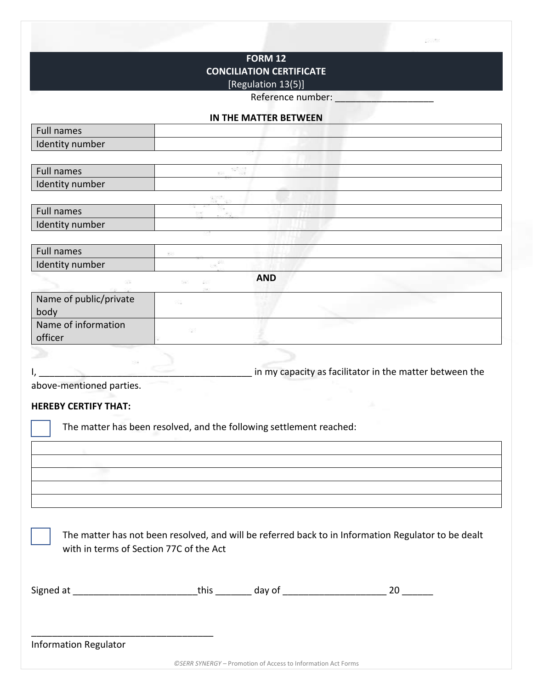# **FORM 12 CONCILIATION CERTIFICATE**

# [Regulation 13(5)]

Reference number:

#### **IN THE MATTER BETWEEN**

| <b>Full names</b>                                                   |    |            |                                                                                                     |
|---------------------------------------------------------------------|----|------------|-----------------------------------------------------------------------------------------------------|
| Identity number                                                     |    |            |                                                                                                     |
|                                                                     |    |            |                                                                                                     |
| <b>Full names</b>                                                   |    |            |                                                                                                     |
| Identity number                                                     |    |            |                                                                                                     |
|                                                                     |    |            |                                                                                                     |
| Full names                                                          |    |            |                                                                                                     |
| Identity number                                                     |    |            |                                                                                                     |
|                                                                     |    |            |                                                                                                     |
| <b>Full names</b>                                                   | 93 |            |                                                                                                     |
| Identity number                                                     |    |            |                                                                                                     |
|                                                                     | ×  | <b>AND</b> |                                                                                                     |
| Name of public/private                                              | ನಾ |            |                                                                                                     |
| body                                                                |    |            |                                                                                                     |
| Name of information                                                 | 88 |            |                                                                                                     |
| officer                                                             |    |            |                                                                                                     |
|                                                                     |    |            |                                                                                                     |
|                                                                     |    |            | in my capacity as facilitator in the matter between the                                             |
| above-mentioned parties.                                            |    |            |                                                                                                     |
|                                                                     |    |            |                                                                                                     |
| <b>HEREBY CERTIFY THAT:</b>                                         |    |            |                                                                                                     |
| The matter has been resolved, and the following settlement reached: |    |            |                                                                                                     |
|                                                                     |    |            |                                                                                                     |
|                                                                     |    |            |                                                                                                     |
|                                                                     |    |            |                                                                                                     |
|                                                                     |    |            |                                                                                                     |
|                                                                     |    |            |                                                                                                     |
|                                                                     |    |            |                                                                                                     |
|                                                                     |    |            |                                                                                                     |
|                                                                     |    |            |                                                                                                     |
|                                                                     |    |            | The matter has not been resolved, and will be referred back to in Information Regulator to be dealt |
| with in terms of Section 77C of the Act                             |    |            |                                                                                                     |
|                                                                     |    |            |                                                                                                     |
|                                                                     |    |            |                                                                                                     |
|                                                                     |    |            |                                                                                                     |
|                                                                     |    |            |                                                                                                     |
|                                                                     |    |            |                                                                                                     |
|                                                                     |    |            |                                                                                                     |
| <b>Information Regulator</b>                                        |    |            |                                                                                                     |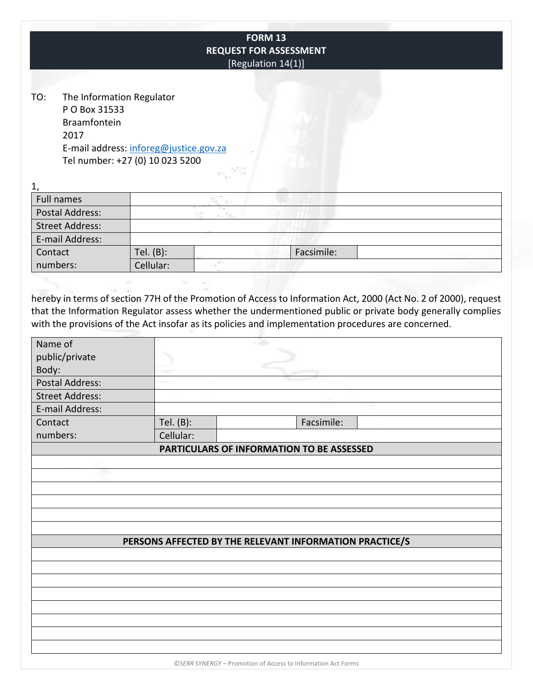|                                                                           |                                                                           | <b>FORM 13</b><br><b>REQUEST FOR ASSESSMENT</b><br>[Regulation 14(1)]                               |  |
|---------------------------------------------------------------------------|---------------------------------------------------------------------------|-----------------------------------------------------------------------------------------------------|--|
| The Information Regulator<br>TO:<br>P O Box 31533<br>Braamfontein<br>2017 | E-mail address: inforeg@justice.gov.za<br>Tel number: +27 (0) 10 023 5200 |                                                                                                     |  |
| 1,                                                                        |                                                                           |                                                                                                     |  |
| <b>Full names</b>                                                         |                                                                           |                                                                                                     |  |
| <b>Postal Address:</b>                                                    |                                                                           |                                                                                                     |  |
| <b>Street Address:</b>                                                    |                                                                           |                                                                                                     |  |
| E-mail Address:                                                           |                                                                           |                                                                                                     |  |
| Contact                                                                   | Tel. (B):                                                                 | Facsimile:                                                                                          |  |
| numbers:                                                                  | Cellular:                                                                 |                                                                                                     |  |
| Name of                                                                   |                                                                           | with the provisions of the Act insofar as its policies and implementation procedures are concerned. |  |
| public/private                                                            |                                                                           |                                                                                                     |  |
| Body:                                                                     |                                                                           |                                                                                                     |  |
| <b>Postal Address:</b>                                                    |                                                                           |                                                                                                     |  |
| <b>Street Address:</b>                                                    |                                                                           |                                                                                                     |  |
| E-mail Address:                                                           |                                                                           |                                                                                                     |  |
| Contact                                                                   | Tel. (B):                                                                 | Facsimile:                                                                                          |  |
| numbers:                                                                  | Cellular:                                                                 |                                                                                                     |  |
|                                                                           |                                                                           | PARTICULARS OF INFORMATION TO BE ASSESSED                                                           |  |
|                                                                           |                                                                           |                                                                                                     |  |
|                                                                           |                                                                           |                                                                                                     |  |
|                                                                           |                                                                           |                                                                                                     |  |
|                                                                           |                                                                           |                                                                                                     |  |
|                                                                           |                                                                           |                                                                                                     |  |
|                                                                           |                                                                           | PERSONS AFFECTED BY THE RELEVANT INFORMATION PRACTICE/S                                             |  |
|                                                                           |                                                                           |                                                                                                     |  |
|                                                                           |                                                                           |                                                                                                     |  |
|                                                                           |                                                                           |                                                                                                     |  |
|                                                                           |                                                                           |                                                                                                     |  |
|                                                                           |                                                                           |                                                                                                     |  |
|                                                                           |                                                                           |                                                                                                     |  |
|                                                                           |                                                                           |                                                                                                     |  |
|                                                                           |                                                                           |                                                                                                     |  |

*©SERR SYNERGY –* Promotion of Access to Information Act Forms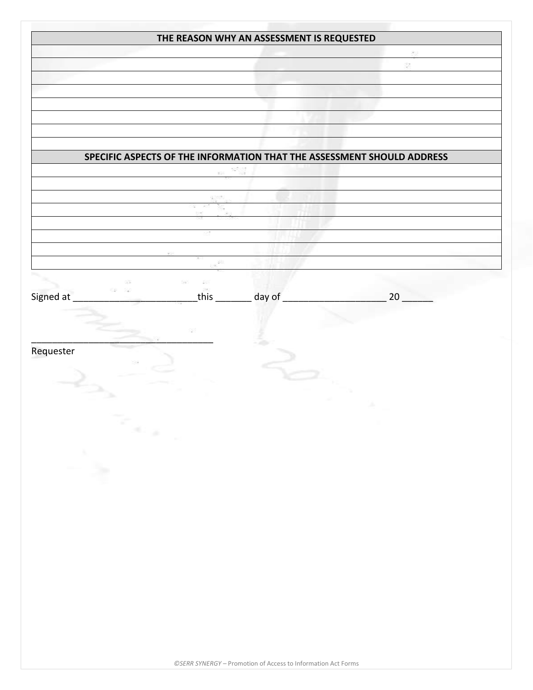|                                                                       | THE REASON WHY AN ASSESSMENT IS REQUESTED |                                                                        |
|-----------------------------------------------------------------------|-------------------------------------------|------------------------------------------------------------------------|
|                                                                       |                                           |                                                                        |
|                                                                       |                                           |                                                                        |
|                                                                       |                                           |                                                                        |
|                                                                       |                                           |                                                                        |
|                                                                       |                                           |                                                                        |
|                                                                       |                                           | SPECIFIC ASPECTS OF THE INFORMATION THAT THE ASSESSMENT SHOULD ADDRESS |
|                                                                       |                                           |                                                                        |
|                                                                       |                                           |                                                                        |
|                                                                       |                                           |                                                                        |
|                                                                       |                                           |                                                                        |
|                                                                       |                                           |                                                                        |
|                                                                       |                                           |                                                                        |
|                                                                       |                                           |                                                                        |
| Signed at                                                             | this ________ day of _                    | 20                                                                     |
|                                                                       |                                           |                                                                        |
|                                                                       |                                           |                                                                        |
|                                                                       |                                           |                                                                        |
| Requester                                                             |                                           |                                                                        |
|                                                                       |                                           |                                                                        |
|                                                                       |                                           |                                                                        |
|                                                                       |                                           |                                                                        |
| $\mathcal{L}_{\mathcal{A}_{\mathcal{A}_{\mathcal{A}_{\mathcal{A}}}}}$ |                                           |                                                                        |
|                                                                       |                                           |                                                                        |
|                                                                       |                                           |                                                                        |
|                                                                       |                                           |                                                                        |
|                                                                       |                                           |                                                                        |
| A.                                                                    |                                           |                                                                        |
|                                                                       |                                           |                                                                        |
|                                                                       |                                           |                                                                        |
|                                                                       |                                           |                                                                        |
|                                                                       |                                           |                                                                        |
|                                                                       |                                           |                                                                        |
|                                                                       |                                           |                                                                        |
|                                                                       |                                           |                                                                        |
|                                                                       |                                           |                                                                        |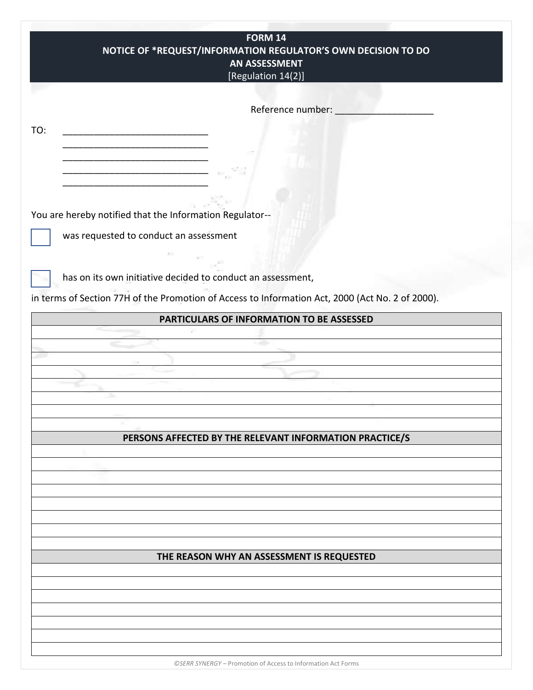| FORM 14                                                                                          |  |
|--------------------------------------------------------------------------------------------------|--|
| NOTICE OF *REQUEST/INFORMATION REGULATOR'S OWN DECISION TO DO                                    |  |
| <b>AN ASSESSMENT</b>                                                                             |  |
| [Regulation 14(2)]                                                                               |  |
|                                                                                                  |  |
|                                                                                                  |  |
| Reference number:                                                                                |  |
|                                                                                                  |  |
| TO:                                                                                              |  |
|                                                                                                  |  |
|                                                                                                  |  |
|                                                                                                  |  |
|                                                                                                  |  |
|                                                                                                  |  |
|                                                                                                  |  |
| You are hereby notified that the Information Regulator--                                         |  |
| was requested to conduct an assessment                                                           |  |
|                                                                                                  |  |
|                                                                                                  |  |
|                                                                                                  |  |
| has on its own initiative decided to conduct an assessment,                                      |  |
|                                                                                                  |  |
| in terms of Section 77H of the Promotion of Access to Information Act, 2000 (Act No. 2 of 2000). |  |
| PARTICULARS OF INFORMATION TO BE ASSESSED                                                        |  |
|                                                                                                  |  |
|                                                                                                  |  |
|                                                                                                  |  |
|                                                                                                  |  |
|                                                                                                  |  |
|                                                                                                  |  |
|                                                                                                  |  |
|                                                                                                  |  |
|                                                                                                  |  |
| PERSONS AFFECTED BY THE RELEVANT INFORMATION PRACTICE/S                                          |  |
|                                                                                                  |  |
|                                                                                                  |  |
|                                                                                                  |  |
|                                                                                                  |  |
|                                                                                                  |  |
|                                                                                                  |  |
|                                                                                                  |  |
|                                                                                                  |  |
|                                                                                                  |  |
| THE REASON WHY AN ASSESSMENT IS REQUESTED                                                        |  |
|                                                                                                  |  |
|                                                                                                  |  |
|                                                                                                  |  |
|                                                                                                  |  |
|                                                                                                  |  |
|                                                                                                  |  |
|                                                                                                  |  |
|                                                                                                  |  |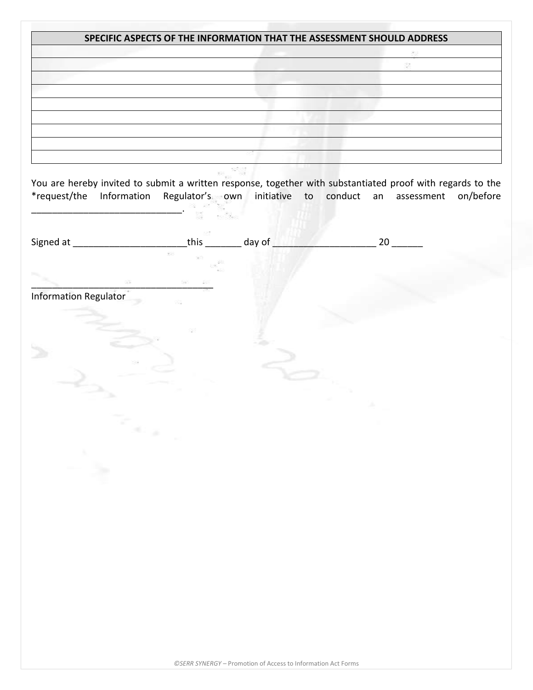|                                                                          |                                      | SPECIFIC ASPECTS OF THE INFORMATION THAT THE ASSESSMENT SHOULD ADDRESS                                                                                                                               |  |
|--------------------------------------------------------------------------|--------------------------------------|------------------------------------------------------------------------------------------------------------------------------------------------------------------------------------------------------|--|
|                                                                          |                                      |                                                                                                                                                                                                      |  |
|                                                                          |                                      |                                                                                                                                                                                                      |  |
|                                                                          |                                      |                                                                                                                                                                                                      |  |
|                                                                          |                                      |                                                                                                                                                                                                      |  |
|                                                                          |                                      |                                                                                                                                                                                                      |  |
|                                                                          |                                      |                                                                                                                                                                                                      |  |
|                                                                          |                                      |                                                                                                                                                                                                      |  |
|                                                                          |                                      |                                                                                                                                                                                                      |  |
|                                                                          |                                      |                                                                                                                                                                                                      |  |
|                                                                          |                                      | You are hereby invited to submit a written response, together with substantiated proof with regards to the<br>*request/the Information Regulator's own initiative to conduct an assessment on/before |  |
|                                                                          |                                      |                                                                                                                                                                                                      |  |
| Signed at _______________________________this __________ day of ________ |                                      | $\sim$ 20 $\sim$                                                                                                                                                                                     |  |
|                                                                          | 69                                   |                                                                                                                                                                                                      |  |
|                                                                          |                                      |                                                                                                                                                                                                      |  |
| 33                                                                       |                                      |                                                                                                                                                                                                      |  |
|                                                                          |                                      |                                                                                                                                                                                                      |  |
| <b>Information Regulator</b>                                             |                                      |                                                                                                                                                                                                      |  |
|                                                                          |                                      |                                                                                                                                                                                                      |  |
|                                                                          |                                      |                                                                                                                                                                                                      |  |
|                                                                          |                                      |                                                                                                                                                                                                      |  |
|                                                                          |                                      |                                                                                                                                                                                                      |  |
|                                                                          |                                      |                                                                                                                                                                                                      |  |
|                                                                          |                                      |                                                                                                                                                                                                      |  |
|                                                                          |                                      |                                                                                                                                                                                                      |  |
|                                                                          |                                      |                                                                                                                                                                                                      |  |
|                                                                          |                                      |                                                                                                                                                                                                      |  |
|                                                                          |                                      |                                                                                                                                                                                                      |  |
|                                                                          | $\sigma_{\rm c}$ is $\sigma_{\rm c}$ |                                                                                                                                                                                                      |  |
|                                                                          |                                      |                                                                                                                                                                                                      |  |
|                                                                          |                                      |                                                                                                                                                                                                      |  |
|                                                                          |                                      |                                                                                                                                                                                                      |  |
|                                                                          |                                      |                                                                                                                                                                                                      |  |
|                                                                          |                                      |                                                                                                                                                                                                      |  |
|                                                                          |                                      |                                                                                                                                                                                                      |  |
|                                                                          |                                      |                                                                                                                                                                                                      |  |
|                                                                          |                                      |                                                                                                                                                                                                      |  |
|                                                                          |                                      |                                                                                                                                                                                                      |  |
|                                                                          |                                      |                                                                                                                                                                                                      |  |
|                                                                          |                                      |                                                                                                                                                                                                      |  |
|                                                                          |                                      |                                                                                                                                                                                                      |  |
|                                                                          |                                      |                                                                                                                                                                                                      |  |
|                                                                          |                                      |                                                                                                                                                                                                      |  |
|                                                                          |                                      |                                                                                                                                                                                                      |  |
|                                                                          |                                      |                                                                                                                                                                                                      |  |
|                                                                          |                                      |                                                                                                                                                                                                      |  |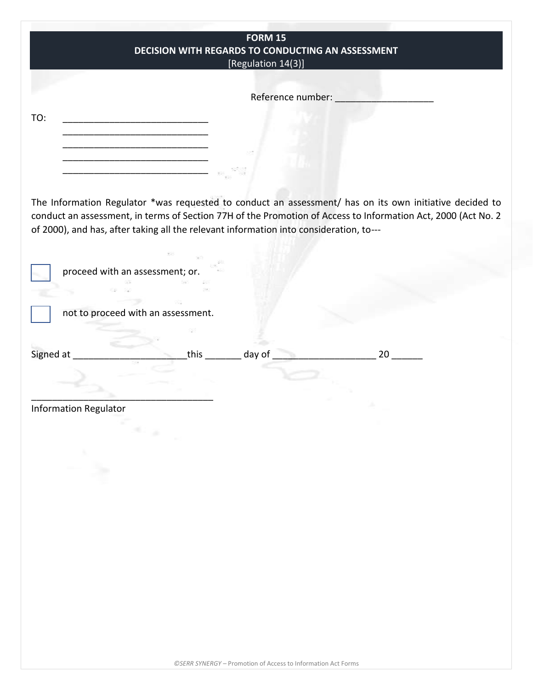|                                                                                                                       | <b>FORM 15</b>                                    |    |
|-----------------------------------------------------------------------------------------------------------------------|---------------------------------------------------|----|
|                                                                                                                       | DECISION WITH REGARDS TO CONDUCTING AN ASSESSMENT |    |
|                                                                                                                       | [Regulation 14(3)]                                |    |
|                                                                                                                       |                                                   |    |
|                                                                                                                       |                                                   |    |
|                                                                                                                       | Reference number:                                 |    |
|                                                                                                                       |                                                   |    |
| TO:<br><u> 1980 - Jan James James Barnett, fransk politik (d. 1980)</u>                                               |                                                   |    |
|                                                                                                                       |                                                   |    |
|                                                                                                                       |                                                   |    |
|                                                                                                                       |                                                   |    |
| <u> 1989 - Johann Barbara, martin amerikan basar dan berasal dalam basar dalam basar dalam basar dalam basar dala</u> |                                                   |    |
| <u> 2008 - Jan Berlin, Amerikaansk politiker (</u>                                                                    |                                                   |    |
|                                                                                                                       |                                                   |    |
| The Information Regulator *was requested to conduct an assessment/ has on its own initiative decided to               |                                                   |    |
|                                                                                                                       |                                                   |    |
| conduct an assessment, in terms of Section 77H of the Promotion of Access to Information Act, 2000 (Act No. 2         |                                                   |    |
| of 2000), and has, after taking all the relevant information into consideration, to---                                |                                                   |    |
|                                                                                                                       |                                                   |    |
|                                                                                                                       |                                                   |    |
| proceed with an assessment; or.                                                                                       |                                                   |    |
|                                                                                                                       |                                                   |    |
|                                                                                                                       |                                                   |    |
|                                                                                                                       |                                                   |    |
| not to proceed with an assessment.                                                                                    |                                                   |    |
|                                                                                                                       |                                                   |    |
|                                                                                                                       |                                                   |    |
| Signed at                                                                                                             | this ________ day of ___                          | 20 |
|                                                                                                                       |                                                   |    |
|                                                                                                                       |                                                   |    |
|                                                                                                                       |                                                   |    |
|                                                                                                                       |                                                   |    |
| <b>Information Regulator</b>                                                                                          |                                                   |    |
| $\overline{a}$                                                                                                        |                                                   |    |
|                                                                                                                       |                                                   |    |
|                                                                                                                       |                                                   |    |
| Ž≽.                                                                                                                   |                                                   |    |
|                                                                                                                       |                                                   |    |
|                                                                                                                       |                                                   |    |
|                                                                                                                       |                                                   |    |
|                                                                                                                       |                                                   |    |
|                                                                                                                       |                                                   |    |
|                                                                                                                       |                                                   |    |
|                                                                                                                       |                                                   |    |
|                                                                                                                       |                                                   |    |
|                                                                                                                       |                                                   |    |
|                                                                                                                       |                                                   |    |
|                                                                                                                       |                                                   |    |
|                                                                                                                       |                                                   |    |
|                                                                                                                       |                                                   |    |
|                                                                                                                       |                                                   |    |
|                                                                                                                       |                                                   |    |
|                                                                                                                       |                                                   |    |